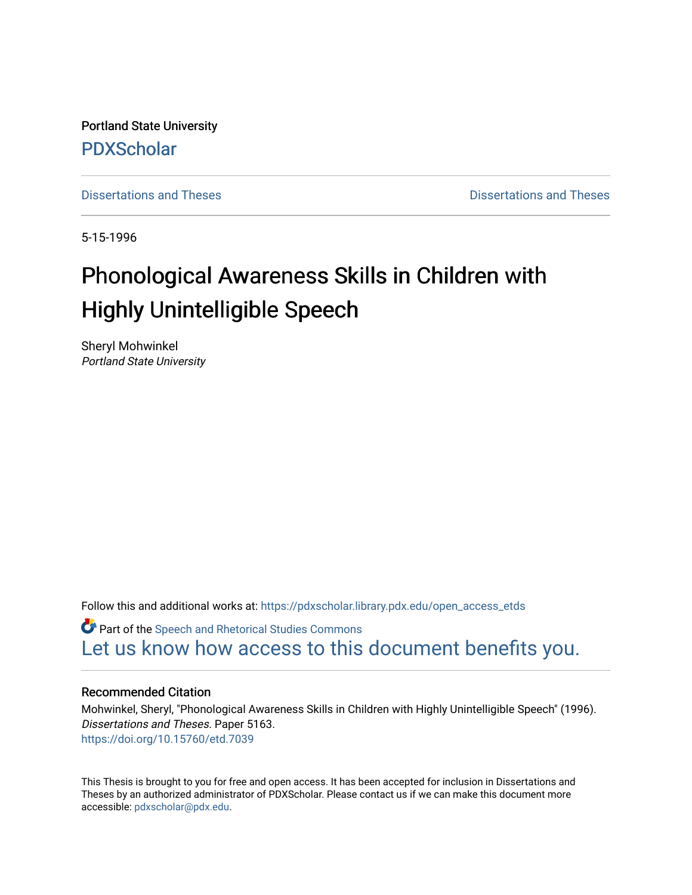Portland State University [PDXScholar](https://pdxscholar.library.pdx.edu/)

[Dissertations and Theses](https://pdxscholar.library.pdx.edu/open_access_etds) **Dissertations** and Theses **Dissertations and Theses** 

5-15-1996

# Phonological Awareness Skills in Children with Highly Unintelligible Speech

Sheryl Mohwinkel Portland State University

Follow this and additional works at: [https://pdxscholar.library.pdx.edu/open\\_access\\_etds](https://pdxscholar.library.pdx.edu/open_access_etds?utm_source=pdxscholar.library.pdx.edu%2Fopen_access_etds%2F5163&utm_medium=PDF&utm_campaign=PDFCoverPages)

**C** Part of the Speech and Rhetorical Studies Commons [Let us know how access to this document benefits you.](http://library.pdx.edu/services/pdxscholar-services/pdxscholar-feedback/) 

#### Recommended Citation

Mohwinkel, Sheryl, "Phonological Awareness Skills in Children with Highly Unintelligible Speech" (1996). Dissertations and Theses. Paper 5163. <https://doi.org/10.15760/etd.7039>

This Thesis is brought to you for free and open access. It has been accepted for inclusion in Dissertations and Theses by an authorized administrator of PDXScholar. Please contact us if we can make this document more accessible: [pdxscholar@pdx.edu.](mailto:pdxscholar@pdx.edu)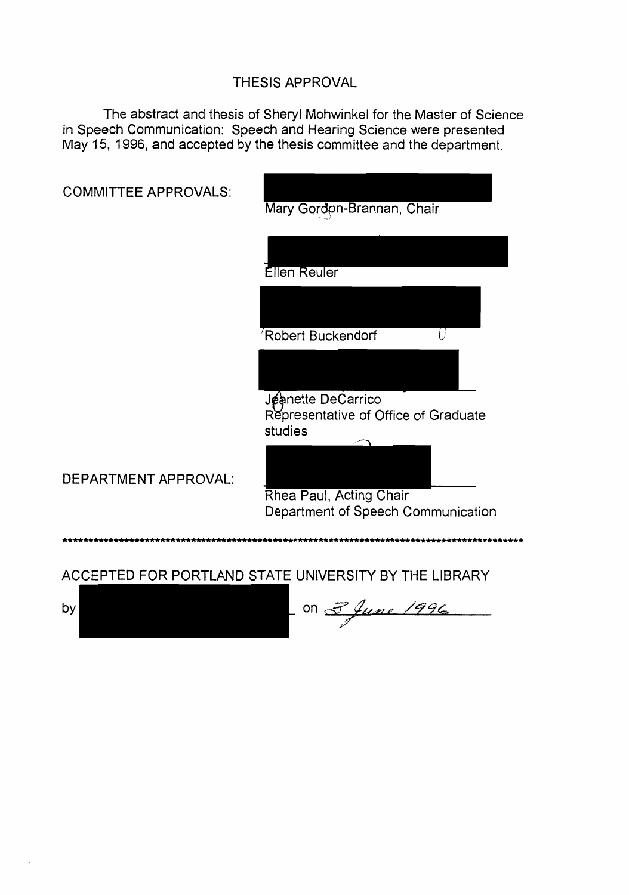# THESIS APPROVAL

The abstract and thesis of Sheryl Mohwinkel for the Master of Science in Speech Communication: Speech and Hearing Science were presented May 15, 1996, and accepted by the thesis committee and the department.

| <b>COMMITTEE APPROVALS:</b> | Mary Gordon-Brannan, Chair                                            |
|-----------------------------|-----------------------------------------------------------------------|
|                             | Ellen Reuler                                                          |
|                             |                                                                       |
|                             | Robert Buckendorf                                                     |
|                             | Jeanette DeCarrico<br>Representative of Office of Graduate<br>studies |
| <b>DEPARTMENT APPROVAL:</b> | Rhea Paul, Acting Chair<br>Department of Speech Communication         |
|                             |                                                                       |
|                             | ACCEPTED FOR PORTLAND STATE UNIVERSITY BY THE LIBRARY                 |
| by                          |                                                                       |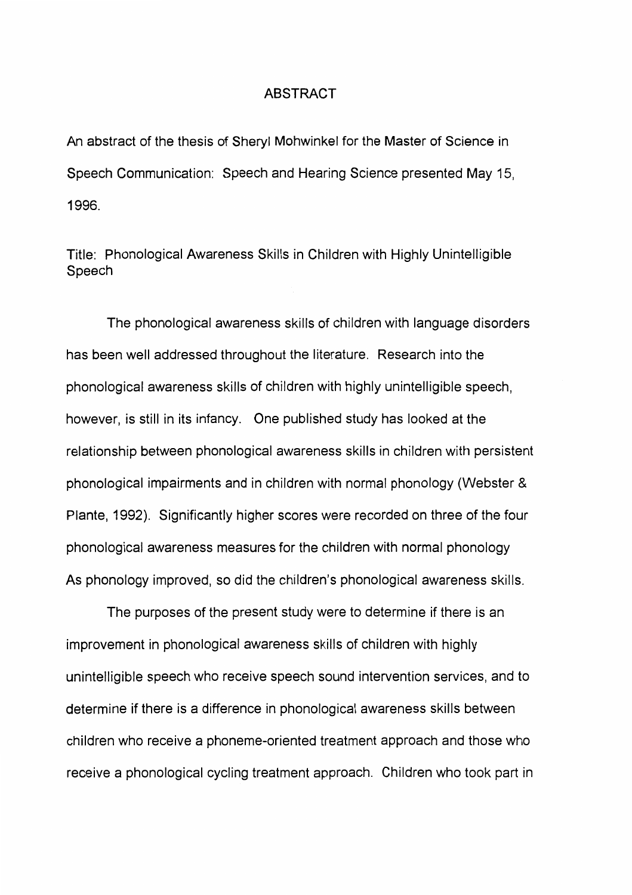#### ABSTRACT

An abstract of the thesis of Sheryl Mohwinkel for the Master of Science in Speech Communication: Speech and Hearing Science presented May 15, 1996.

Title: Phonological Awareness Skills in Children with Highly Unintelligible Speech

The phonological awareness skills of children with language disorders has been well addressed throughout the literature. Research into the phonological awareness skills of children with highly unintelligible speech, however, is still in its infancy. One published study has looked at the relationship between phonological awareness skills in children with persistent phonological impairments and in children with normal phonology (Webster & Plante, 1992). Significantly higher scores were recorded on three of the four phonological awareness measures for the children with normal phonology As phonology improved, so did the children's phonological awareness skills.

The purposes of the present study were to determine if there is an improvement in phonological awareness skills of children with highly unintelligible speech who receive speech sound intervention services, and to determine if there is a difference in phonological awareness skills between children who receive a phoneme-oriented treatment approach and those who receive a phonological cycling treatment approach. Children who took part in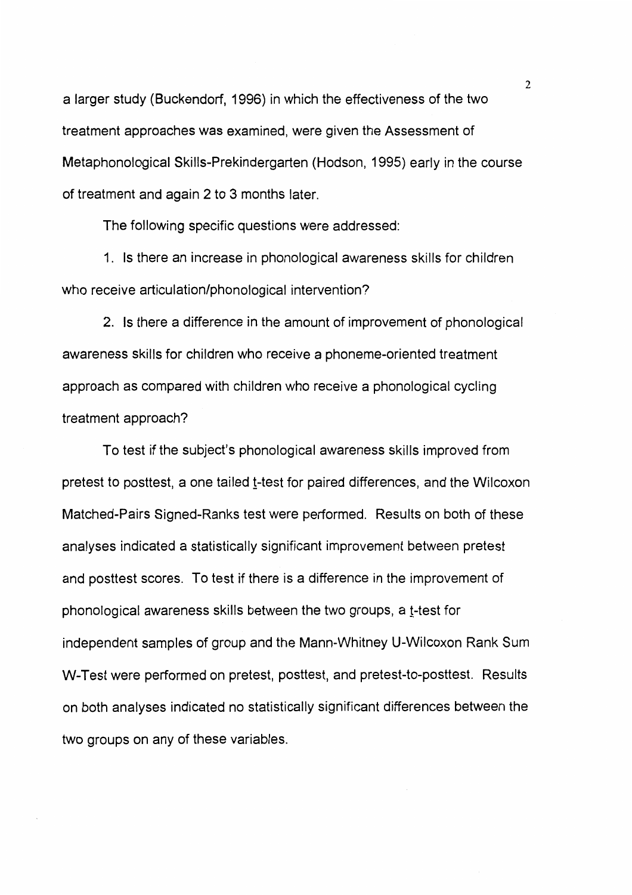a larger study (Buckendorf, 1996) in which the effectiveness of the two treatment approaches was examined, were given the Assessment of Metaphonological Skills-Prekindergarten (Hodson, 1995) early in the course of treatment and again 2 to 3 months later.

The following specific questions were addressed:

1. Is there an increase in phonological awareness skills for children who receive articulation/phonological intervention?

2. Is there a difference in the amount of improvement of phonological awareness skills for children who receive a phoneme-oriented treatment approach as compared with children who receive a phonological cycling treatment approach?

To test if the subject's phonological awareness skills improved from pretest to posttest, a one tailed t-test for paired differences, and the Wilcoxon Matched-Pairs Signed-Ranks test were performed. Results on both of these analyses indicated a statistically significant improvement between pretest and posttest scores. To test if there is a difference in the improvement of phonological awareness skills between the two groups, a t-test for independent samples of group and the Mann-Whitney U-Wilcoxon Rank Sum W-Test were performed on pretest, posttest, and pretest-to-posttest. Results on both analyses indicated no statistically significant differences between the two groups on any of these variables.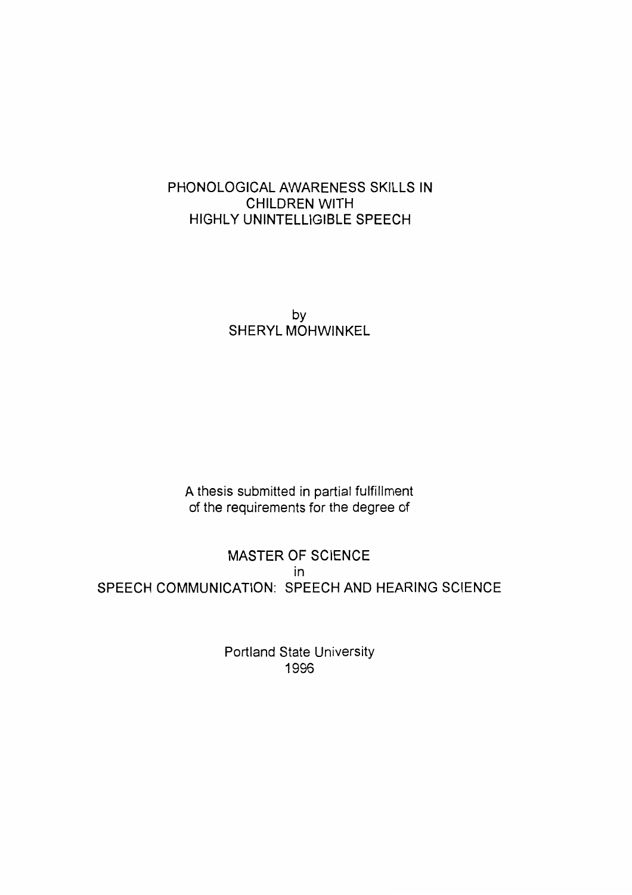# PHONOLOGICAL AWARENESS SKILLS IN CHILDREN WITH HIGHLY UNINTELLIGIBLE SPEECH

by SHERYL MOHWINKEL

A thesis submitted in partial fulfillment of the requirements for the degree of

MASTER OF SCIENCE in SPEECH COMMUNICATION: SPEECH AND HEARING SCIENCE

> Portland State University 1996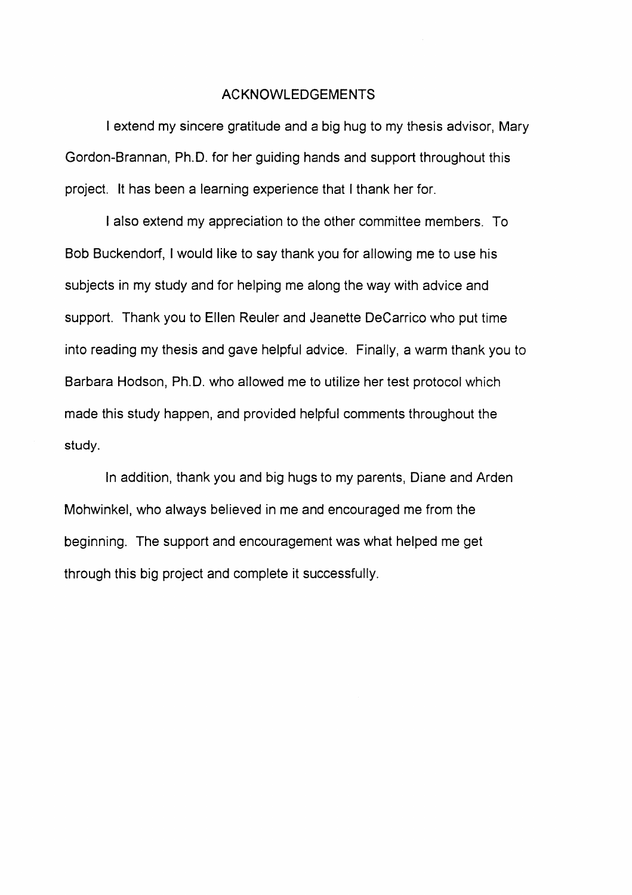#### ACKNOWLEDGEMENTS

I extend my sincere gratitude and a big hug to my thesis advisor, Mary Gordon-Brannan, Ph.D. for her guiding hands and support throughout this project. It has been a learning experience that I thank her for.

I also extend my appreciation to the other committee members. To Bob Buckendorf, I would like to say thank you for allowing me to use his subjects in my study and for helping me along the way with advice and support. Thank you to Ellen Reuler and Jeanette DeCarrico who put time into reading my thesis and gave helpful advice. Finally, a warm thank you to Barbara Hodson, Ph.D. who allowed me to utilize her test protocol which made this study happen, and provided helpful comments throughout the study.

In addition, thank you and big hugs to my parents, Diane and Arden Mohwinkel, who always believed in me and encouraged me from the beginning. The support and encouragement was what helped me get through this big project and complete it successfully.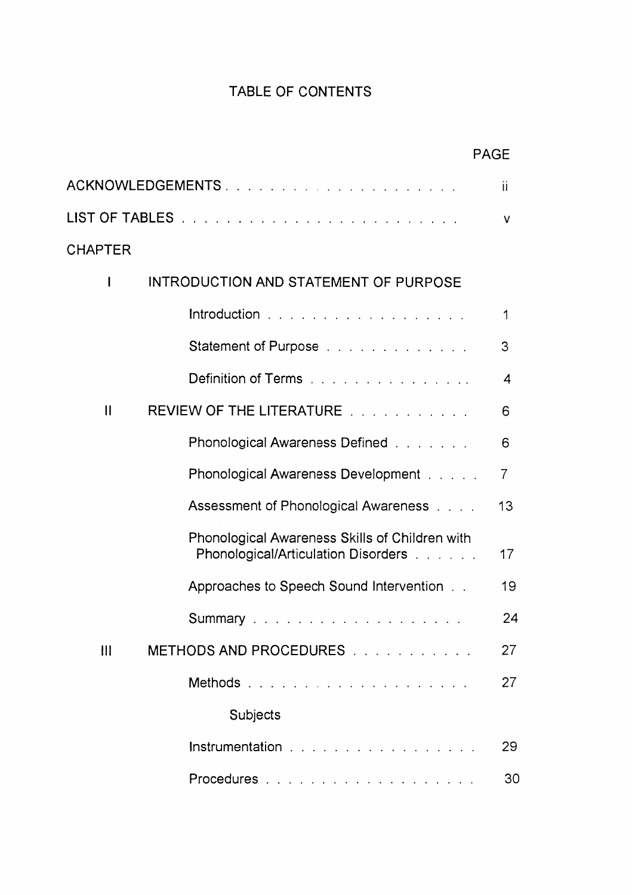# TABLE OF CONTENTS

|                |                                                                                       | <b>PAGE</b>    |
|----------------|---------------------------------------------------------------------------------------|----------------|
|                | ACKNOWLEDGEMENTS                                                                      | Ϊİ             |
|                |                                                                                       | v              |
| <b>CHAPTER</b> |                                                                                       |                |
| I              | INTRODUCTION AND STATEMENT OF PURPOSE                                                 |                |
|                | Introduction                                                                          | 1              |
|                | Statement of Purpose                                                                  | 3              |
|                | Definition of Terms                                                                   | 4              |
| $\mathbf{II}$  | REVIEW OF THE LITERATURE                                                              | 6              |
|                | Phonological Awareness Defined                                                        | 6              |
|                | Phonological Awareness Development [1, 1, 1, 1]                                       | $\overline{7}$ |
|                | Assessment of Phonological Awareness                                                  | 13             |
|                | Phonological Awareness Skills of Children with<br>Phonological/Articulation Disorders | 17             |
|                | Approaches to Speech Sound Intervention                                               | 19             |
|                |                                                                                       | 24             |
| $\mathbf{  }$  | METHODS AND PROCEDURES                                                                | 27             |
|                | Methods                                                                               | 27             |
|                | Subjects                                                                              |                |
|                | Instrumentation                                                                       | 29             |
|                |                                                                                       | 30             |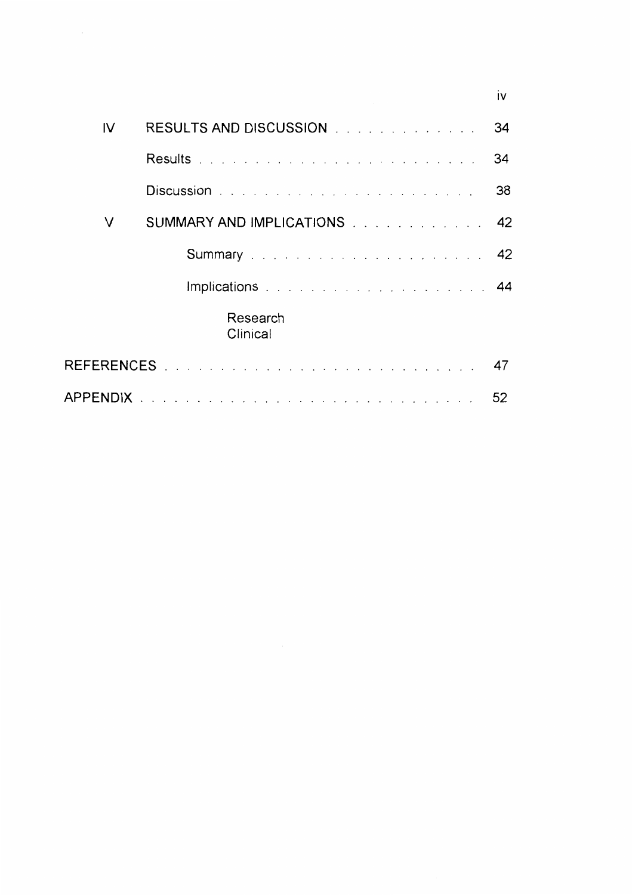|    |                                                                                                                                                                                                                                | iv |
|----|--------------------------------------------------------------------------------------------------------------------------------------------------------------------------------------------------------------------------------|----|
| IV | RESULTS AND DISCUSSION And a contract the contract of the set of the set of the set of the set of the set of the set of the set of the set of the set of the set of the set of the set of the set of the set of the set of the | 34 |
|    |                                                                                                                                                                                                                                | 34 |
|    | Discussion New York Product of the Contract of the Contract of the Discussion of the Discussion of the Discussion of the Discussion of the Discussion of the Discussion of the Discussion of the Discussion of the Discussion  | 38 |
| v  | SUMMARY AND IMPLICATIONS 42                                                                                                                                                                                                    |    |
|    |                                                                                                                                                                                                                                |    |
|    | Implications and a substitution of the state of the state of the state of the state of the state of the state o                                                                                                                |    |
|    | Research<br>Clinical                                                                                                                                                                                                           |    |
|    |                                                                                                                                                                                                                                | 47 |
|    |                                                                                                                                                                                                                                | 52 |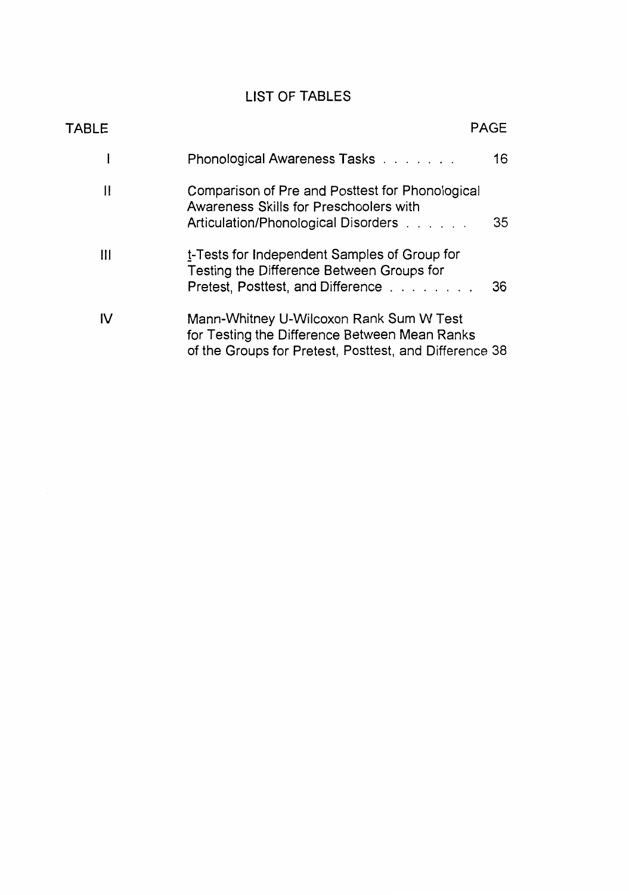# LIST OF TABLES

| TABLE |                                                                                                                                                    | <b>PAGE</b> |
|-------|----------------------------------------------------------------------------------------------------------------------------------------------------|-------------|
|       | Phonological Awareness Tasks                                                                                                                       | 16          |
| 11    | Comparison of Pre and Posttest for Phonological<br>Awareness Skills for Preschoolers with<br>Articulation/Phonological Disorders                   | 35          |
| Ш     | t-Tests for Independent Samples of Group for<br>Testing the Difference Between Groups for<br>Pretest, Posttest, and Difference                     | 36          |
| I۷    | Mann-Whitney U-Wilcoxon Rank Sum W Test<br>for Testing the Difference Between Mean Ranks<br>of the Groups for Pretest, Posttest, and Difference 38 |             |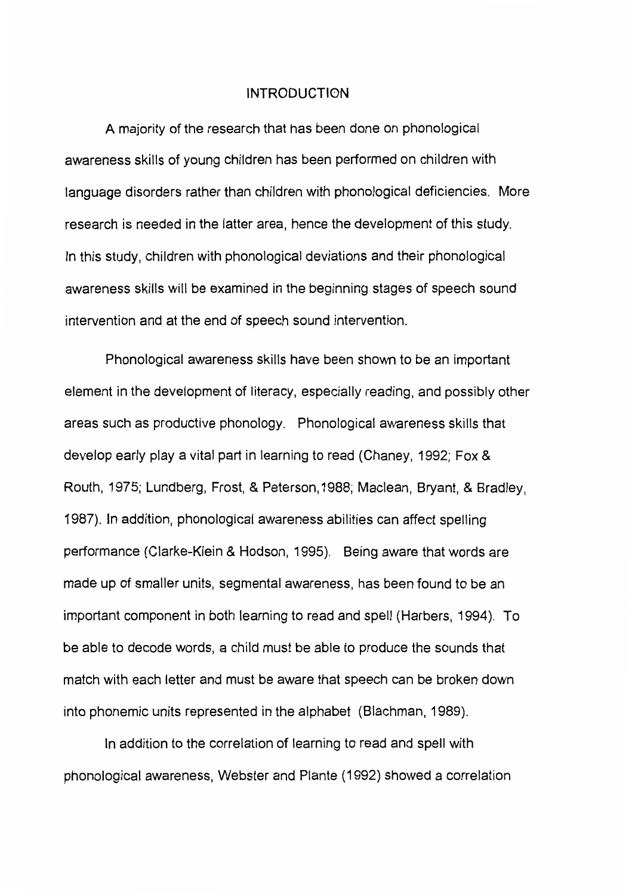## INTRODUCTION

A majority of the research that has been done on phonological awareness skills of young children has been performed on children with language disorders rather than children with phonological deficiencies. More research is needed in the latter area, hence the development of this study. In this study, children with phonological deviations and their phonological awareness skills will be examined in the beginning stages of speech sound intervention and at the end of speech sound intervention.

Phonological awareness skills have been shown to be an important element in the development of literacy, especially reading, and possibly other areas such as productive phonology. Phonological awareness skills that develop early play a vital part in learning to read (Chaney, 1992; Fox & Routh, 1975; Lundberg, Frost, & Peterson, 1988; Maclean, Bryant, & Bradley, 1987). In addition, phonological awareness abilities can affect spelling performance (Clarke-Klein & Hodson, 1995). Being aware that words are made up of smaller units, segmental awareness, has been found to be an important component in both learning to read and spell (Harbers, 1994). To be able to decode words, a child must be able to produce the sounds that match with each letter and must be aware that speech can be broken down into phonemic units represented in the alphabet (Blachman, 1989).

In addition to the correlation of learning to read and spell with phonological awareness, Webster and Plante (1992) showed a correlation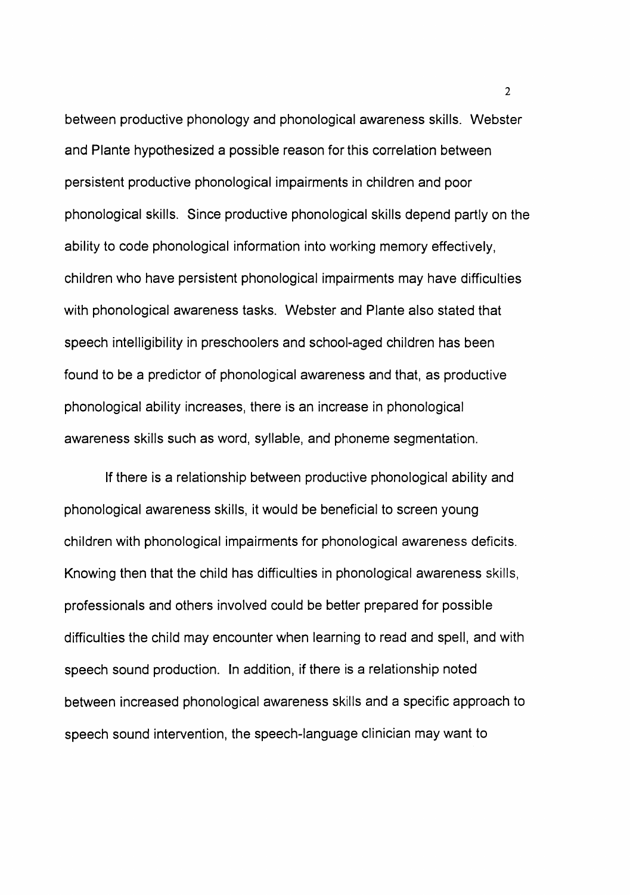between productive phonology and phonological awareness skills. Webster and Plante hypothesized a possible reason for this correlation between persistent productive phonological impairments in children and poor phonological skills. Since productive phonological skills depend partly on the ability to code phonological information into working memory effectively, children who have persistent phonological impairments may have difficulties with phonological awareness tasks. Webster and Plante also stated that speech intelligibility in preschoolers and school-aged children has been found to be a predictor of phonological awareness and that, as productive phonological ability increases, there is an increase in phonological awareness skills such as word, syllable, and phoneme segmentation.

If there is a relationship between productive phonological ability and phonological awareness skills, it would be beneficial to screen young children with phonological impairments for phonological awareness deficits. Knowing then that the child has difficulties in phonological awareness skills, professionals and others involved could be better prepared for possible difficulties the child may encounter when learning to read and spell, and with speech sound production. In addition, if there is a relationship noted between increased phonological awareness skills and a specific approach to speech sound intervention, the speech-language clinician may want to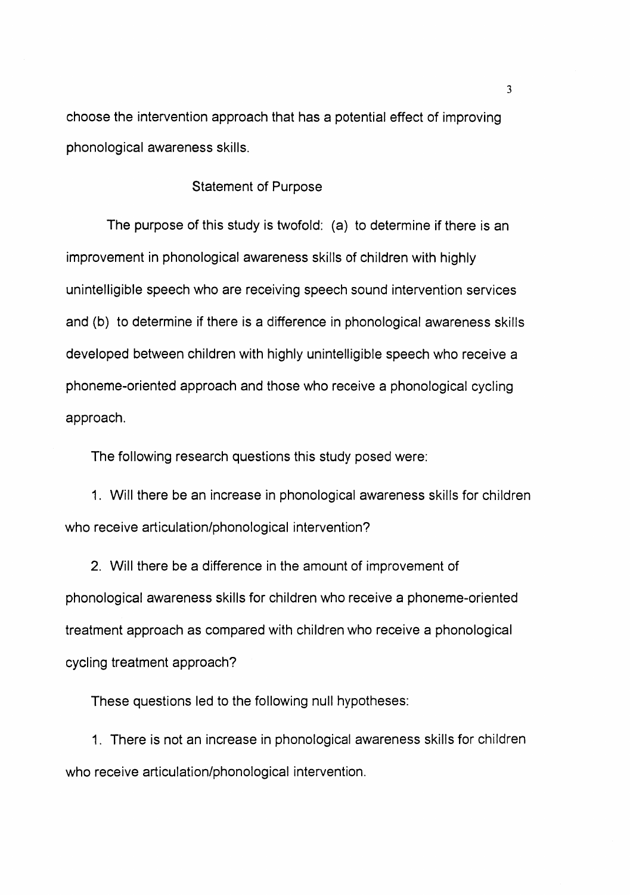choose the intervention approach that has a potential effect of improving phonological awareness skills.

## Statement of Purpose

The purpose of this study is twofold: (a) to determine if there is an improvement in phonological awareness skills of children with highly unintelligible speech who are receiving speech sound intervention services and (b) to determine if there is a difference in phonological awareness skills developed between children with highly unintelligible speech who receive a phoneme-oriented approach and those who receive a phonological cycling approach.

The following research questions this study posed were:

1. Will there be an increase in phonological awareness skills for children who receive articulation/phonological intervention?

2. Will there be a difference in the amount of improvement of phonological awareness skills for children who receive a phoneme-oriented treatment approach as compared with children who receive a phonological cycling treatment approach?

These questions led to the following null hypotheses:

1. There is not an increase in phonological awareness skills for children who receive articulation/phonological intervention.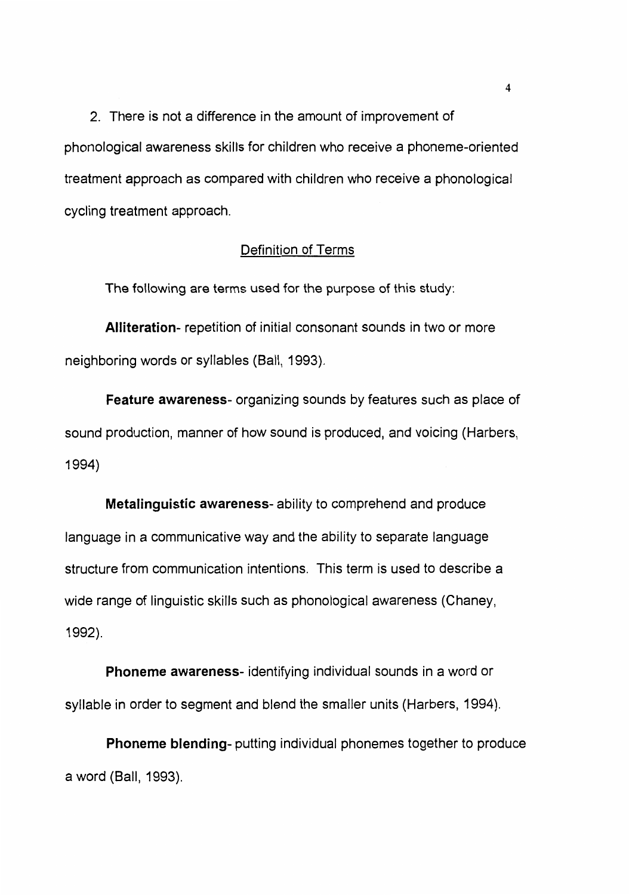2. There is not a difference in the amount of improvement of phonological awareness skills for children who receive a phoneme-oriented treatment approach as compared with children who receive a phonological cycling treatment approach.

# Definition of Terms

The following are terms used for the purpose of this study:

**Alliteration-** repetition of initial consonant sounds in two or more neighboring words or syllables (Ball, 1993).

**Feature awareness-** organizing sounds by features such as place of sound production, manner of how sound is produced, and voicing (Harbers, 1994)

**Metalinguistic awareness-** ability to comprehend and produce language in a communicative way and the ability to separate language structure from communication intentions. This term is used to describe a wide range of linguistic skills such as phonological awareness (Chaney, 1992).

**Phoneme awareness-** identifying individual sounds in a word or syllable in order to segment and blend the smaller units (Harbers, 1994).

**Phoneme blending-** putting individual phonemes together to produce a word (Ball, 1993).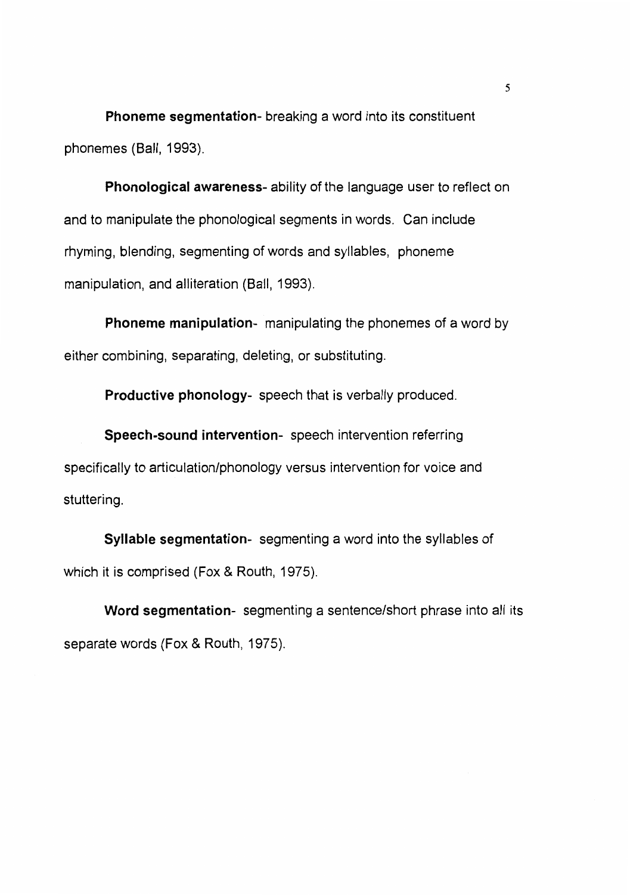**Phoneme segmentation-** breaking a word into its constituent phonemes (Ball, 1993).

**Phonological awareness-** ability of the language user to reflect on and to manipulate the phonological segments in words. Can include rhyming, blending, segmenting of words and syllables, phoneme manipulation, and alliteration (Ball, 1993).

**Phoneme manipulation-** manipulating the phonemes of a word by either combining, separating, deleting, or substituting.

**Productive phonology-** speech that is verbally produced.

**Speech-sound intervention-** speech intervention referring specifically to articulation/phonology versus intervention for voice and stuttering.

**Syllable segmentation-** segmenting a word into the syllables of which it is comprised (Fox & Routh, 1975).

**Word segmentation-** segmenting a sentence/short phrase into all its separate words (Fox & Routh, 1975).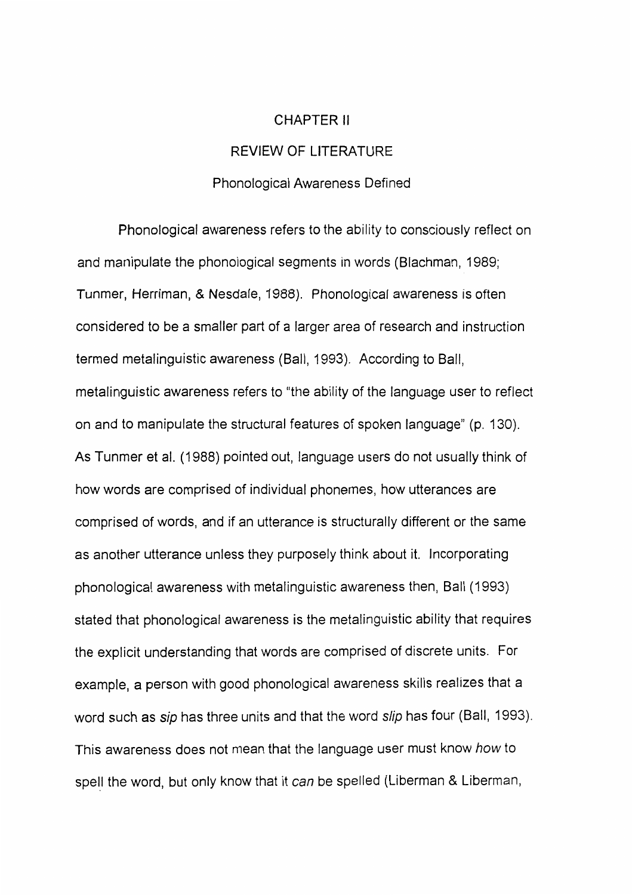#### CHAPTER II

# REVIEW OF LITERATURE

## Phonological Awareness Defined

Phonological awareness refers to the ability to consciously reflect on and manipulate the phonological segments in words (Blachman, 1989; Tunmer, Herriman, & Nesdale, 1988). Phonological awareness is often considered to be a smaller part of a larger area of research and instruction termed metalinguistic awareness (Ball, 1993). According to Ball, metalinguistic awareness refers to "the ability of the language user to reflect on and to manipulate the structural features of spoken language" (p. 130). As Tunmer et al. (1988) pointed out, language users do not usually think of how words are comprised of individual phonemes, how utterances are comprised of words, and if an utterance is structurally different or the same as another utterance unless they purposely think about it. Incorporating phonological awareness with metalinguistic awareness then, Ball (1993) stated that phonological awareness is the metalinguistic ability that requires the explicit understanding that words are comprised of discrete units. For example, a person with good phonological awareness skills realizes that a word such as *sip* has three units and that the word *slip* has four (Ball, 1993). This awareness does not mean that the language user must know how to spell the word, but only know that it can be spelled (Liberman & Liberman,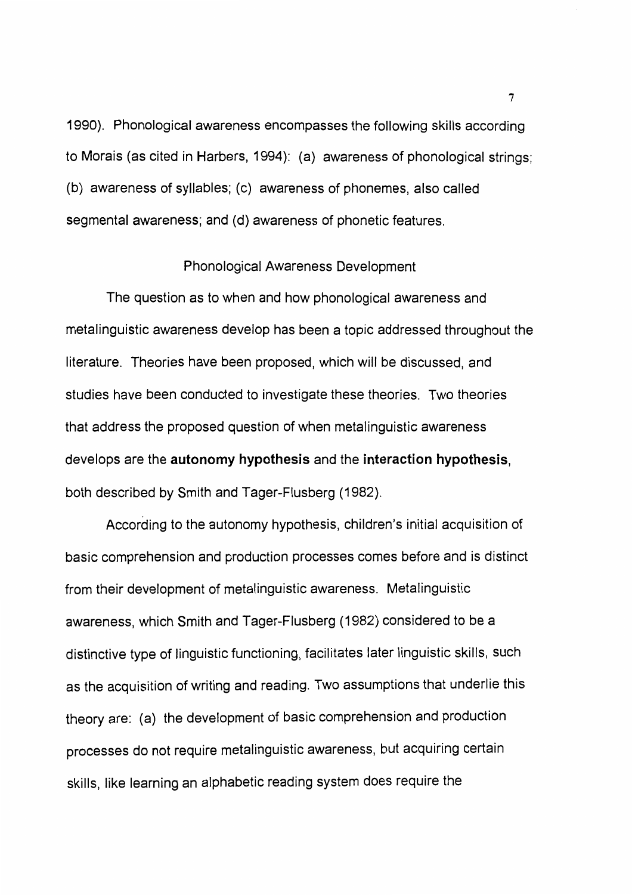1990). Phonological awareness encompasses the following skills according to Morais (as cited in Harbers, 1994): (a) awareness of phonological strings; (b) awareness of syllables; (c) awareness of phonemes, also called segmental awareness; and (d) awareness of phonetic features.

#### Phonological Awareness Development

The question as to when and how phonological awareness and metalinguistic awareness develop has been a topic addressed throughout the literature. Theories have been proposed, which will be discussed, and studies have been conducted to investigate these theories. Two theories that address the proposed question of when metalinguistic awareness develops are the **autonomy hypothesis** and the **interaction hypothesis,**  both described by Smith and Tager-Flusberg (1982).

According to the autonomy hypothesis, children's initial acquisition of basic comprehension and production processes comes before and is distinct from their development of metalinguistic awareness. Metalinguistic awareness, which Smith and Tager-Flusberg (1982) considered to be a distinctive type of linguistic functioning, facilitates later linguistic skills, such as the acquisition of writing and reading. Two assumptions that underlie this theory are: (a) the development of basic comprehension and production processes do not require metalinguistic awareness, but acquiring certain skills, like learning an alphabetic reading system does require the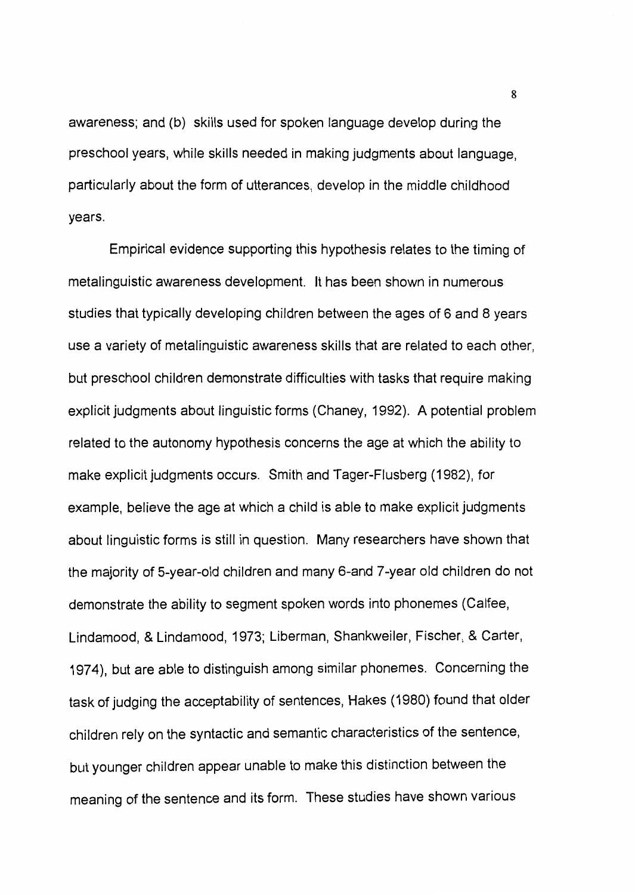awareness; and (b) skills used for spoken language develop during the preschool years, while skills needed in making judgments about language, particularly about the form of utterances, develop in the middle childhood years.

Empirical evidence supporting this hypothesis relates to the timing of metalinguistic awareness development. It has been shown in numerous studies that typically developing children between the ages of 6 and 8 years use a variety of metalinguistic awareness skills that are related to each other, but preschool children demonstrate difficulties with tasks that require making explicit judgments about linguistic forms (Chaney, 1992). A potential problem related to the autonomy hypothesis concerns the age at which the ability to make explicit judgments occurs. Smith and Tager-Flusberg (1982), for example, believe the age at which a child is able to make explicit judgments about linguistic forms is still in question. Many researchers have shown that the majority of 5-year-old children and many 6-and 7-year old children do not demonstrate the ability to segment spoken words into phonemes (Calfee, Lindamood, & Lindamood, 1973; Liberman, Shankweiler, Fischer, & Carter, 1974), but are able to distinguish among similar phonemes. Concerning the task of judging the acceptability of sentences, Hakes (1980) found that older children rely on the syntactic and semantic characteristics of the sentence, but younger children appear unable to make this distinction between the meaning of the sentence and its form. These studies have shown various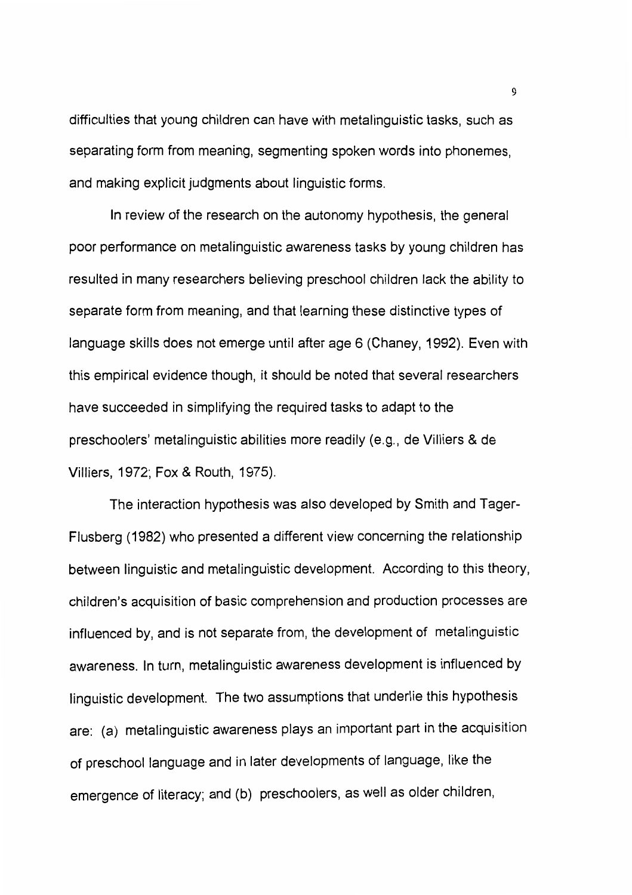difficulties that young children can have with metalinguistic tasks, such as separating form from meaning, segmenting spoken words into phonemes, and making explicit judgments about linguistic forms.

In review of the research on the autonomy hypothesis, the general poor performance on metalinguistic awareness tasks by young children has resulted in many researchers believing preschool children lack the ability to separate form from meaning, and that learning these distinctive types of language skills does not emerge until after age 6 (Chaney, 1992). Even with this empirical evidence though, it should be noted that several researchers have succeeded in simplifying the required tasks to adapt to the preschoolers' metalinguistic abilities more readily (e.g., de Villiers & de Villiers, 1972; Fox & Routh, 1975).

The interaction hypothesis was also developed by Smith and Tager-Flusberg (1982) who presented a different view concerning the relationship between linguistic and metalinguistic development. According to this theory, children's acquisition of basic comprehension and production processes are influenced by, and is not separate from, the development of metalinguistic awareness. In turn, metalinguistic awareness development is influenced by linguistic development. The two assumptions that underlie this hypothesis are: (a) metalinguistic awareness plays an important part in the acquisition of preschool language and in later developments of language, like the emergence of literacy; and (b) preschoolers, as well as older children,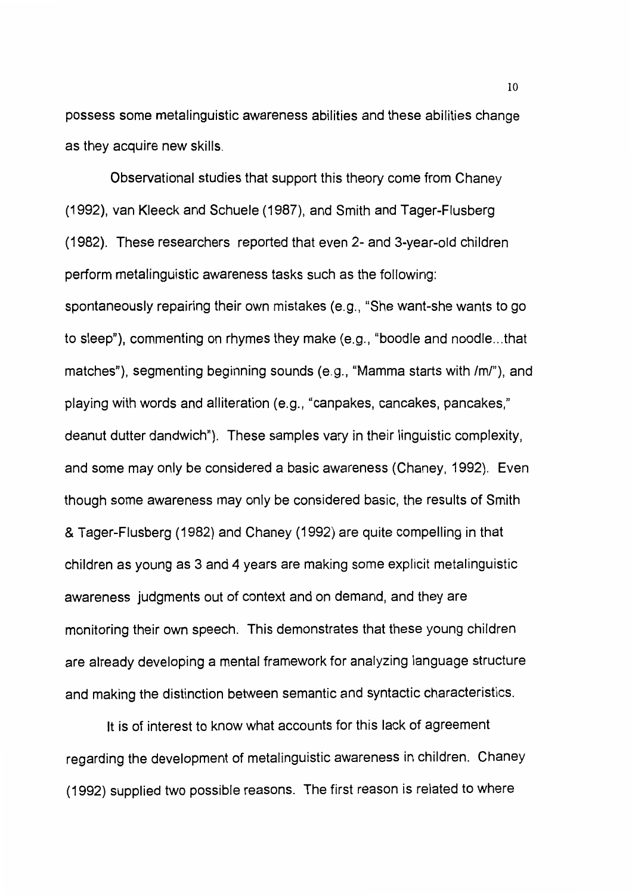possess some metalinguistic awareness abilities and these abilities change as they acquire new skills.

Observational studies that support this theory come from Chaney (1992), van Kleeck and Schuele (1987), and Smith and Tager-Flusberg (1982). These researchers reported that even 2- and 3-year-old children perform metalinguistic awareness tasks such as the following: spontaneously repairing their own mistakes (e.g., "She want-she wants to go to sleep"), commenting on rhymes they make (e.g., "boodle and noodle ... that matches"), segmenting beginning sounds (e.g., "Mamma starts with /ml"), and playing with words and alliteration (e.g., "canpakes, cancakes, pancakes," deanut dutter dandwich"). These samples vary in their linguistic complexity, and some may only be considered a basic awareness (Chaney, 1992). Even though some awareness may only be considered basic, the results of Smith & Tager-Flusberg (1982) and Chaney (1992) are quite compelling in that children as young as 3 and 4 years are making some explicit metalinguistic awareness judgments out of context and on demand, and they are monitoring their own speech. This demonstrates that these young children are already developing a mental framework for analyzing language structure and making the distinction between semantic and syntactic characteristics.

It is of interest to know what accounts for this lack of agreement regarding the development of metalinguistic awareness in children. Chaney (1992) supplied two possible reasons. The first reason is related to where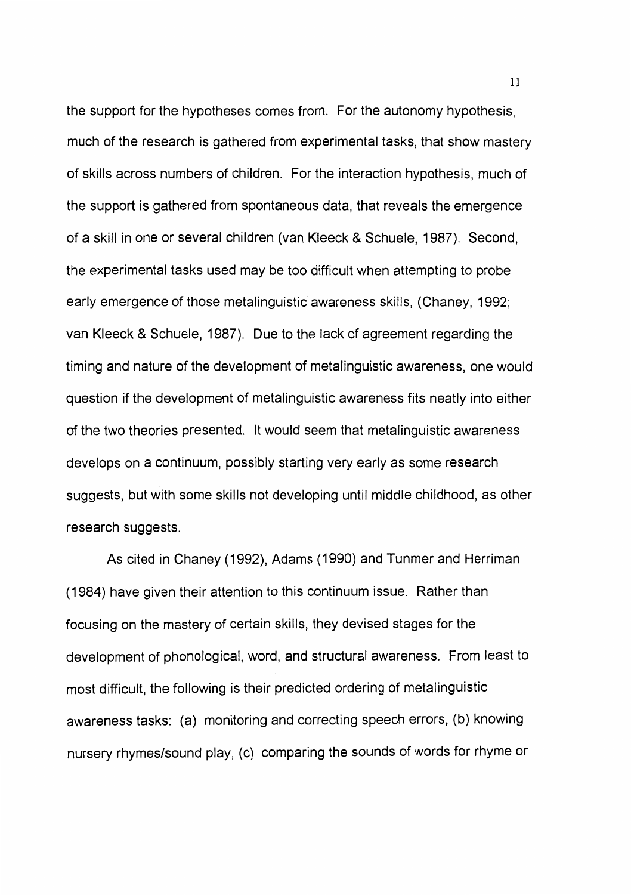the support for the hypotheses comes from. For the autonomy hypothesis, much of the research is gathered from experimental tasks, that show mastery of skills across numbers of children. For the interaction hypothesis, much of the support is gathered from spontaneous data, that reveals the emergence of a skill in one or several children (van Kleeck & Schuele, 1987). Second, the experimental tasks used may be too difficult when attempting to probe early emergence of those metalinguistic awareness skills, (Chaney, 1992; van Kleeck & Schuele, 1987). Due to the lack of agreement regarding the timing and nature of the development of metalinguistic awareness, one would question if the development of metalinguistic awareness fits neatly into either of the two theories presented. It would seem that metalinguistic awareness develops on a continuum, possibly starting very early as some research suggests, but with some skills not developing until middle childhood, as other research suggests.

As cited in Chaney (1992), Adams (1990) and Tunmer and Herriman (1984) have given their attention to this continuum issue. Rather than focusing on the mastery of certain skills, they devised stages for the development of phonological, word, and structural awareness. From least to most difficult, the following is their predicted ordering of metalinguistic awareness tasks: (a) monitoring and correcting speech errors, (b) knowing nursery rhymes/sound play, (c) comparing the sounds of words for rhyme or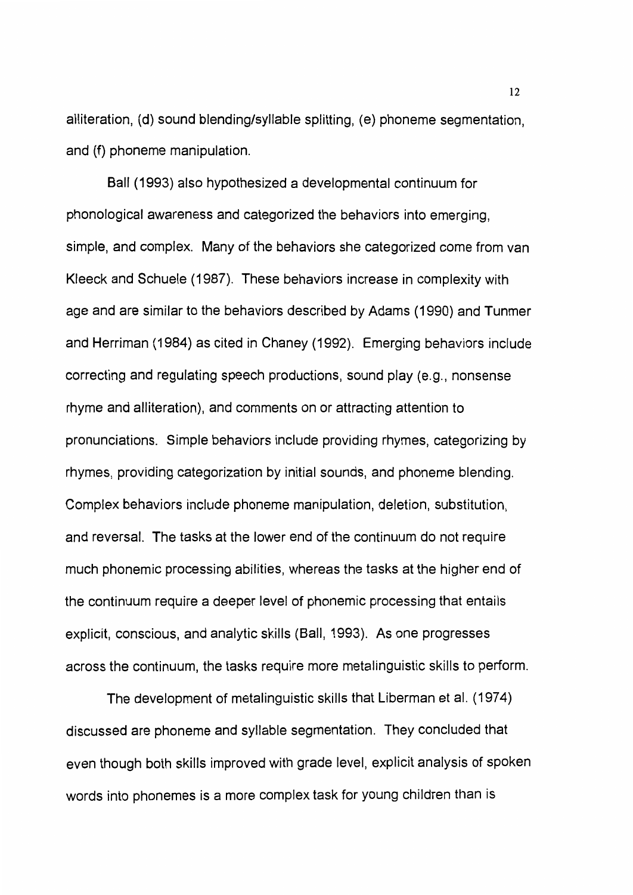alliteration, (d) sound blending/syllable splitting, (e) phoneme segmentation, and (f) phoneme manipulation.

Ball (1993) also hypothesized a developmental continuum for phonological awareness and categorized the behaviors into emerging, simple, and complex. Many of the behaviors she categorized come from van Kleeck and Schuele (1987). These behaviors increase in complexity with age and are similar to the behaviors described by Adams (1990) and Tunmer and Herriman (1984) as cited in Chaney (1992). Emerging behaviors include correcting and regulating speech productions, sound play (e.g., nonsense rhyme and alliteration), and comments on or attracting attention to pronunciations. Simple behaviors include providing rhymes, categorizing by rhymes, providing categorization by initial sounds, and phoneme blending. Complex behaviors include phoneme manipulation, deletion, substitution, and reversal. The tasks at the lower end of the continuum do not require much phonemic processing abilities, whereas the tasks at the higher end of the continuum require a deeper level of phonemic processing that entails explicit, conscious, and analytic skills (Ball, 1993). As one progresses across the continuum, the tasks require more metalinguistic skills to perform.

The development of metalinguistic skills that Liberman et al. (1974) discussed are phoneme and syllable segmentation. They concluded that even though both skills improved with grade level, explicit analysis of spoken words into phonemes is a more complex task for young children than is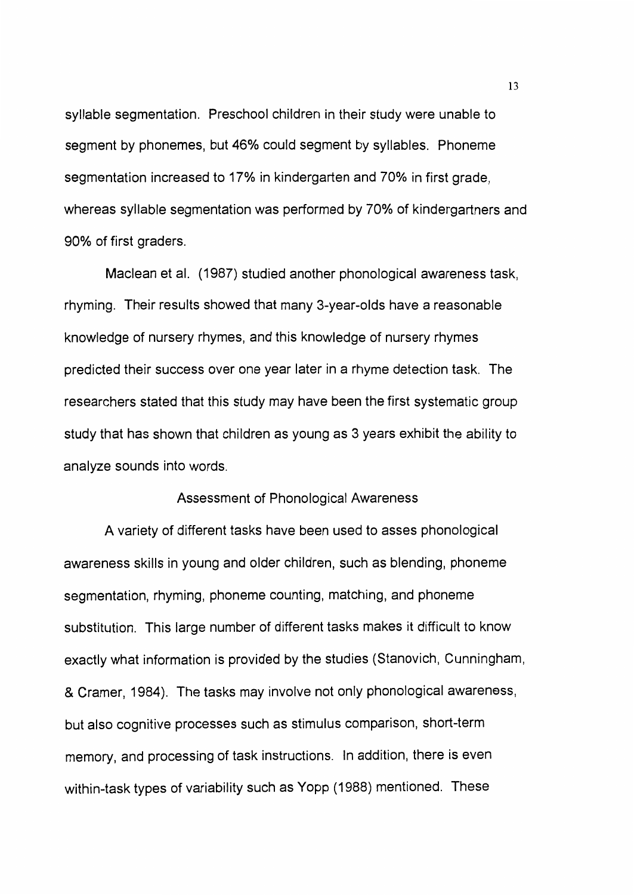syllable segmentation. Preschool children in their study were unable to segment by phonemes, but 46% could segment by syllables. Phoneme segmentation increased to 17% in kindergarten and 70% in first grade, whereas syllable segmentation was performed by 70% of kindergartners and 90% of first graders.

Maclean et al. (1987) studied another phonological awareness task, rhyming. Their results showed that many 3-year-olds have a reasonable knowledge of nursery rhymes, and this knowledge of nursery rhymes predicted their success over one year later in a rhyme detection task. The researchers stated that this study may have been the first systematic group study that has shown that children as young as 3 years exhibit the ability to analyze sounds into words.

## Assessment of Phonological Awareness

A variety of different tasks have been used to asses phonological awareness skills in young and older children, such as blending, phoneme segmentation, rhyming, phoneme counting, matching, and phoneme substitution. This large number of different tasks makes it difficult to know exactly what information is provided by the studies (Stanovich, Cunningham, & Cramer, 1984). The tasks may involve not only phonological awareness, but also cognitive processes such as stimulus comparison, short-term memory, and processing of task instructions. In addition, there is even within-task types of variability such as Yopp (1988) mentioned. These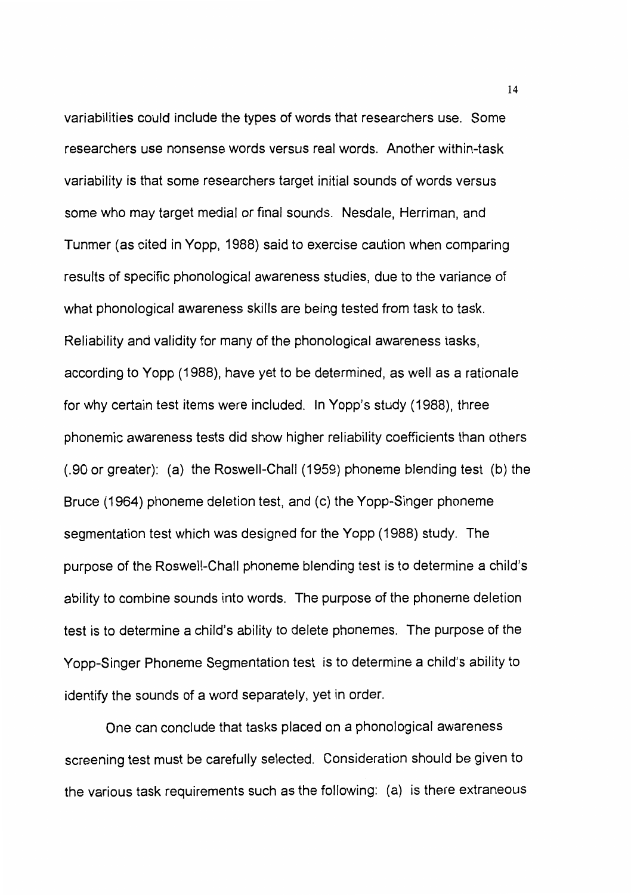variabilities could include the types of words that researchers use. Some researchers use nonsense words versus real words. Another within-task variability is that some researchers target initial sounds of words versus some who may target medial or final sounds. Nesdale, Herriman, and Tunmer (as cited in Yopp, 1988) said to exercise caution when comparing results of specific phonological awareness studies, due to the variance of what phonological awareness skills are being tested from task to task. Reliability and validity for many of the phonological awareness tasks, according to Yopp (1988), have yet to be determined, as well as a rationale for why certain test items were included. In Yopp's study (1988), three phonemic awareness tests did show higher reliability coefficients than others (.90 or greater): (a) the Roswell-Chall (1959) phoneme blending test (b) the Bruce (1964) phoneme deletion test, and (c) the Yopp-Singer phoneme segmentation test which was designed for the Yopp (1988) study. The purpose of the Roswell-Chall phoneme blending test is to determine a child's ability to combine sounds into words. The purpose of the phoneme deletion test is to determine a child's ability to delete phonemes. The purpose of the Yopp-Singer Phoneme Segmentation test is to determine a child's ability to identify the sounds of a word separately, yet in order.

One can conclude that tasks placed on a phonological awareness screening test must be carefully selected. Consideration should be given to the various task requirements such as the following: (a) is there extraneous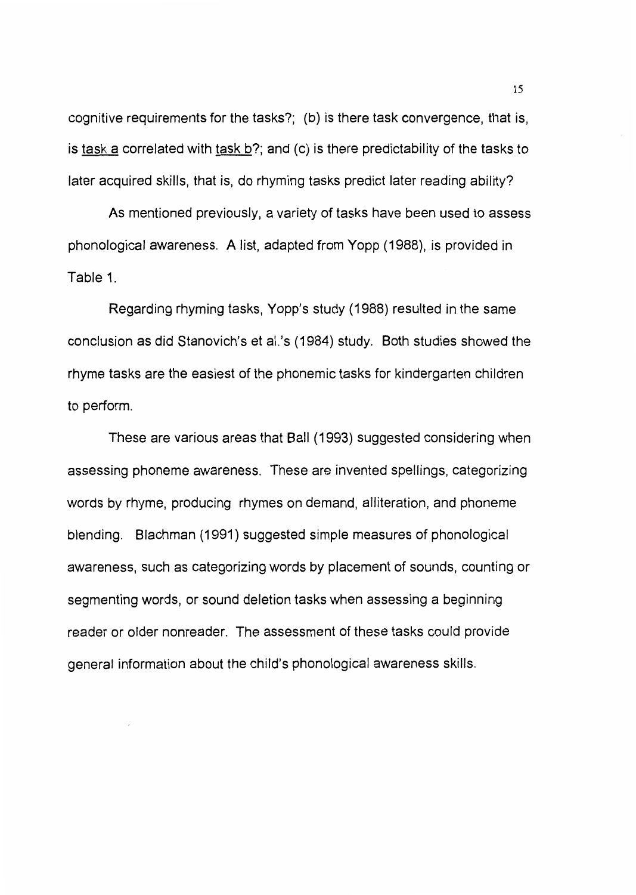cognitive requirements for the tasks?; (b) is there task convergence, that is, is task a correlated with task  $b$ ?; and (c) is there predictability of the tasks to later acquired skills, that is, do rhyming tasks predict later reading ability?

As mentioned previously, a variety of tasks have been used to assess phonological awareness. A list, adapted from Yopp (1988), is provided in Table 1.

Regarding rhyming tasks, Yopp's study (1988) resulted in the same conclusion as did Stanovich's et al.'s (1984) study. Both studies showed the rhyme tasks are the easiest of the phonemic tasks for kindergarten children to perform.

These are various areas that Ball (1993) suggested considering when assessing phoneme awareness. These are invented spellings, categorizing words by rhyme, producing rhymes on demand, alliteration, and phoneme blending. Blachman (1991) suggested simple measures of phonological awareness, such as categorizing words by placement of sounds, counting or segmenting words, or sound deletion tasks when assessing a beginning reader or older nonreader. The assessment of these tasks could provide general information about the child's phonological awareness skills.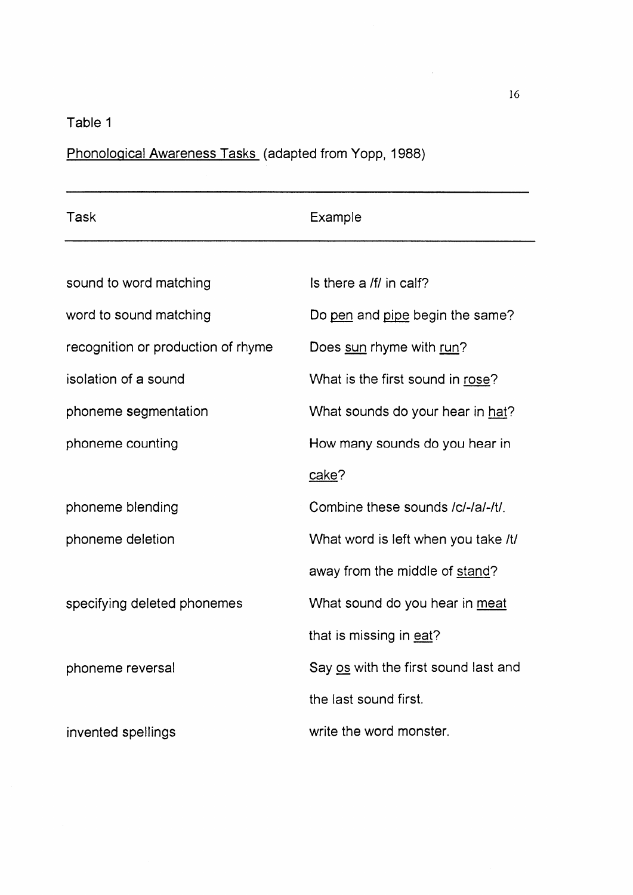# Table 1

Phonological Awareness Tasks (adapted from Yopp, 1988)

| Task                               | Example                              |
|------------------------------------|--------------------------------------|
|                                    |                                      |
| sound to word matching             | Is there a /f/ in calf?              |
| word to sound matching             | Do pen and pipe begin the same?      |
| recognition or production of rhyme | Does sun rhyme with run?             |
| isolation of a sound               | What is the first sound in rose?     |
| phoneme segmentation               | What sounds do your hear in hat?     |
| phoneme counting                   | How many sounds do you hear in       |
|                                    | cake?                                |
| phoneme blending                   | Combine these sounds /c/-/a/-/t/.    |
| phoneme deletion                   | What word is left when you take /t/  |
|                                    | away from the middle of stand?       |
| specifying deleted phonemes        | What sound do you hear in meat       |
|                                    | that is missing in eat?              |
| phoneme reversal                   | Say os with the first sound last and |
|                                    | the last sound first.                |
| invented spellings                 | write the word monster.              |

 $\Delta \sim$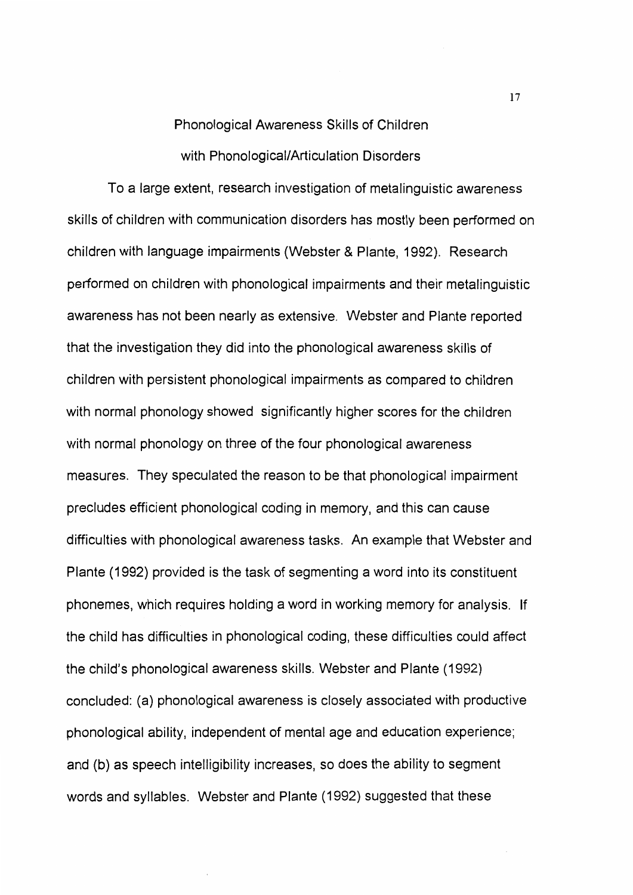# Phonological Awareness Skills of Children with Phonological/Articulation Disorders

To a large extent, research investigation of metalinguistic awareness skills of children with communication disorders has mostly been performed on children with language impairments (Webster & Plante, 1992). Research performed on children with phonological impairments and their metalinguistic awareness has not been nearly as extensive. Webster and Plante reported that the investigation they did into the phonological awareness skills of children with persistent phonological impairments as compared to children with normal phonology showed significantly higher scores for the children with normal phonology on three of the four phonological awareness measures. They speculated the reason to be that phonological impairment precludes efficient phonological coding in memory, and this can cause difficulties with phonological awareness tasks. An example that Webster and Plante (1992) provided is the task of segmenting a word into its constituent phonemes, which requires holding a word in working memory for analysis. If the child has difficulties in phonological coding, these difficulties could affect the child's phonological awareness skills. Webster and Plante (1992) concluded: (a) phonological awareness is closely associated with productive phonological ability, independent of mental age and education experience; and (b) as speech intelligibility increases, so does the ability to segment words and syllables. Webster and Plante (1992) suggested that these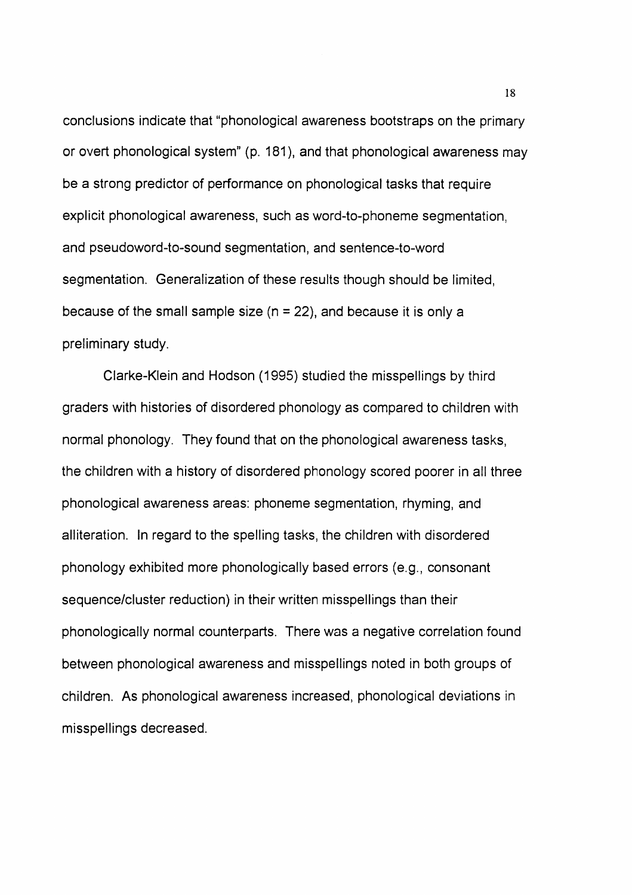conclusions indicate that "phonological awareness bootstraps on the primary or overt phonological system" (p. 181 ), and that phonological awareness may be a strong predictor of performance on phonological tasks that require explicit phonological awareness, such as word-to-phoneme segmentation, and pseudoword-to-sound segmentation, and sentence-to-word segmentation. Generalization of these results though should be limited, because of the small sample size  $(n = 22)$ , and because it is only a preliminary study.

Clarke-Klein and Hodson (1995) studied the misspellings by third graders with histories of disordered phonology as compared to children with normal phonology. They found that on the phonological awareness tasks, the children with a history of disordered phonology scored poorer in all three phonological awareness areas: phoneme segmentation, rhyming, and alliteration. In regard to the spelling tasks, the children with disordered phonology exhibited more phonologically based errors (e.g., consonant sequence/cluster reduction) in their written misspellings than their phonologically normal counterparts. There was a negative correlation found between phonological awareness and misspellings noted in both groups of children. As phonological awareness increased, phonological deviations in misspellings decreased.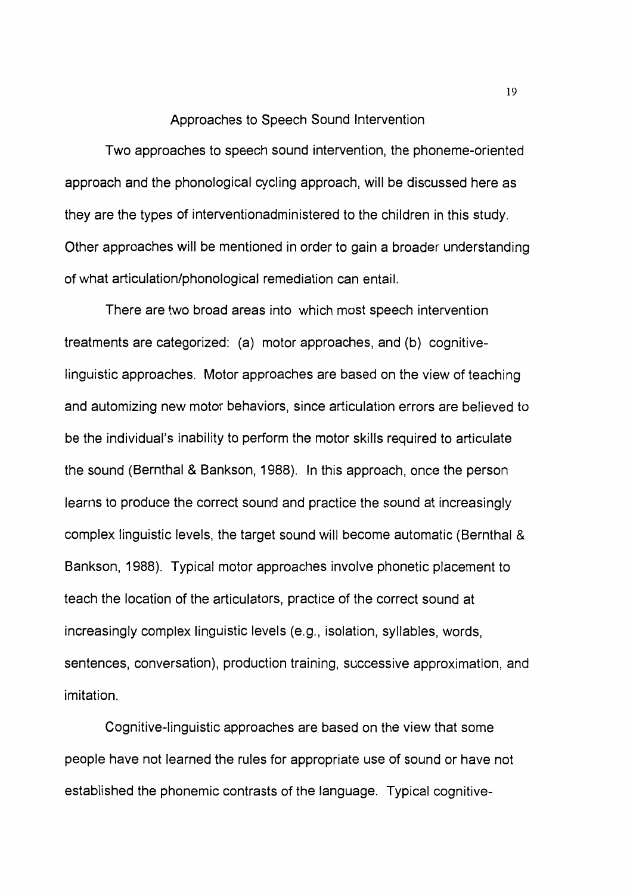#### Approaches to Speech Sound Intervention

Two approaches to speech sound intervention, the phoneme-oriented approach and the phonological cycling approach, will be discussed here as they are the types of interventionadministered to the children in this study. Other approaches will be mentioned in order to gain a broader understanding of what articulation/phonological remediation can entail.

There are two broad areas into which most speech intervention treatments are categorized: (a) motor approaches, and (b) cognitivelinguistic approaches. Motor approaches are based on the view of teaching and automizing new motor behaviors, since articulation errors are believed to be the individual's inability to perform the motor skills required to articulate the sound (Bernthal & Bankson, 1988). In this approach, once the person learns to produce the correct sound and practice the sound at increasingly complex linguistic levels, the target sound will become automatic (Bernthal & Bankson, 1988). Typical motor approaches involve phonetic placement to teach the location of the articulators, practice of the correct sound at increasingly complex linguistic levels (e.g., isolation, syllables, words, sentences, conversation), production training, successive approximation, and imitation.

Cognitive-linguistic approaches are based on the view that some people have not learned the rules for appropriate use of sound or have not established the phonemic contrasts of the language. Typical cognitive-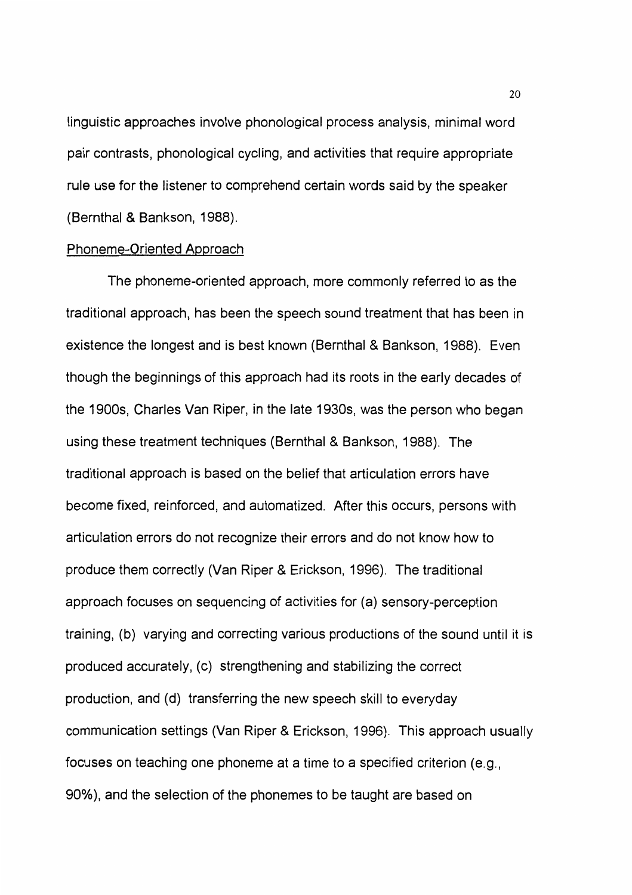linguistic approaches involve phonological process analysis, minimal word pair contrasts, phonological cycling, and activities that require appropriate rule use for the listener to comprehend certain words said by the speaker (Bernthal & Bankson, 1988).

#### Phoneme-Oriented Approach

The phoneme-oriented approach, more commonly referred to as the traditional approach, has been the speech sound treatment that has been in existence the longest and is best known (Bernthal & Bankson, 1988). Even though the beginnings of this approach had its roots in the early decades of the 1900s, Charles Van Riper, in the late 1930s, was the person who began using these treatment techniques (Bernthal & Bankson, 1988). The traditional approach is based on the belief that articulation errors have become fixed, reinforced, and automatized. After this occurs, persons with articulation errors do not recognize their errors and do not know how to produce them correctly (Van Riper & Erickson, 1996). The traditional approach focuses on sequencing of activities for (a) sensory-perception training, (b) varying and correcting various productions of the sound until it is produced accurately, (c) strengthening and stabilizing the correct production, and (d) transferring the new speech skill to everyday communication settings (Van Riper & Erickson, 1996). This approach usually focuses on teaching one phoneme at a time to a specified criterion (e.g., 90%), and the selection of the phonemes to be taught are based on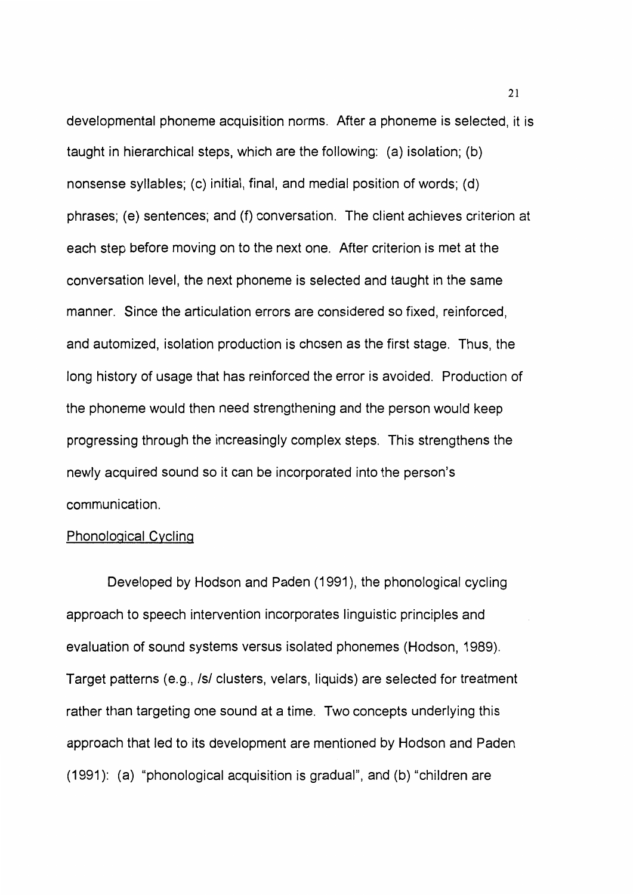developmental phoneme acquisition norms. After a phoneme is selected, it is taught in hierarchical steps, which are the following: (a) isolation; (b) nonsense syllables; (c) initial, final, and medial position of words; (d) phrases; ( e) sentences; and (f) conversation. The client achieves criterion at each step before moving on to the next one. After criterion is met at the conversation level, the next phoneme is selected and taught in the same manner. Since the articulation errors are considered so fixed, reinforced, and automized, isolation production is chosen as the first stage. Thus, the long history of usage that has reinforced the error is avoided. Production of the phoneme would then need strengthening and the person would keep progressing through the increasingly complex steps. This strengthens the newly acquired sound so it can be incorporated into the person's communication.

## Phonological Cycling

Developed by Hodson and Paden (1991 ), the phonological cycling approach to speech intervention incorporates linguistic principles and evaluation of sound systems versus isolated phonemes (Hodson, 1989). Target patterns (e.g., Isl clusters, velars, liquids) are selected for treatment rather than targeting one sound at a time. Two concepts underlying this approach that led to its development are mentioned by Hodson and Paden (1991 ): (a) "phonological acquisition is gradual", and (b) "children are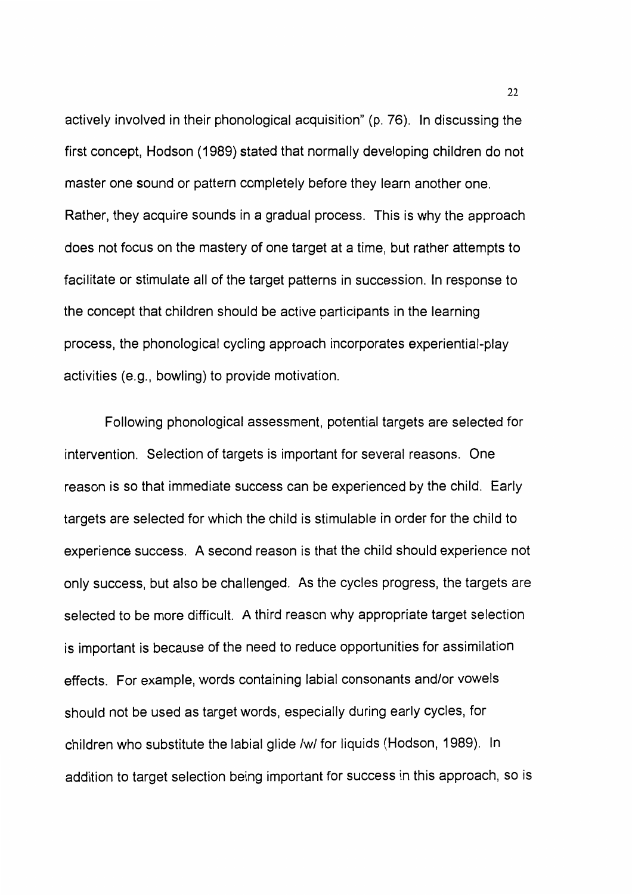actively involved in their phonological acquisition" (p. 76). In discussing the first concept, Hodson (1989) stated that normally developing children do not master one sound or pattern completely before they learn another one. Rather, they acquire sounds in a gradual process. This is why the approach does not focus on the mastery of one target at a time, but rather attempts to facilitate or stimulate all of the target patterns in succession. In response to the concept that children should be active participants in the learning process, the phonological cycling approach incorporates experiential-play activities (e.g., bowling) to provide motivation.

Following phonological assessment, potential targets are selected for intervention. Selection of targets is important for several reasons. One reason is so that immediate success can be experienced by the child. Early targets are selected for which the child is stimulable in order for the child to experience success. A second reason is that the child should experience not only success, but also be challenged. As the cycles progress, the targets are selected to be more difficult. A third reason why appropriate target selection is important is because of the need to reduce opportunities for assimilation effects. For example, words containing labial consonants and/or vowels should not be used as target words, especially during early cycles, for children who substitute the labial glide /w/ for liquids (Hodson, 1989). In addition to target selection being important for success in this approach, so is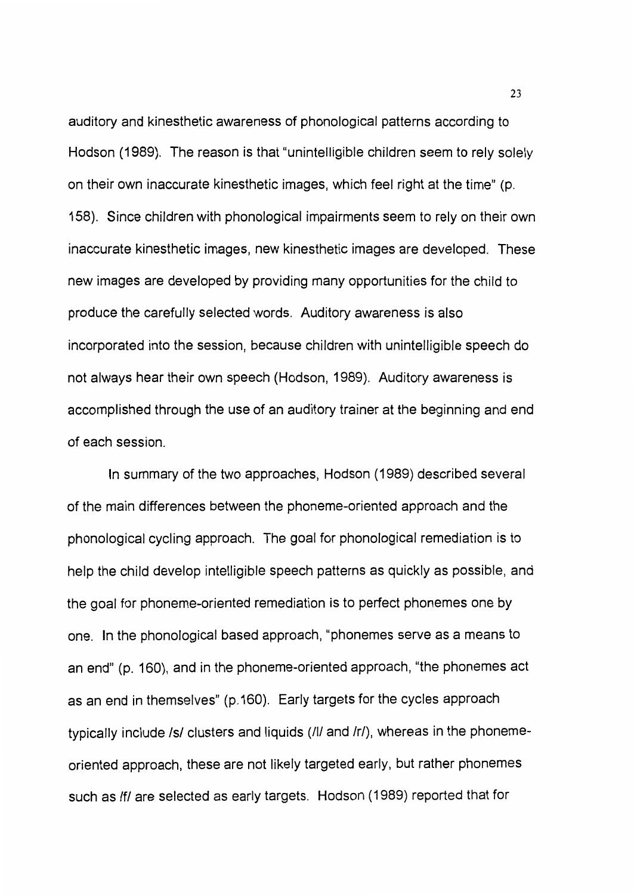auditory and kinesthetic awareness of phonological patterns according to Hodson (1989). The reason is that "unintelligible children seem to rely solely on their own inaccurate kinesthetic images, which feel right at the time" (p. 158). Since children with phonological impairments seem to rely on their own inaccurate kinesthetic images, new kinesthetic images are developed. These new images are developed by providing many opportunities for the child to produce the carefully selected words. Auditory awareness is also incorporated into the session, because children with unintelligible speech do not always hear their own speech (Hodson, 1989). Auditory awareness is accomplished through the use of an auditory trainer at the beginning and end of each session.

In summary of the two approaches, Hodson (1989) described several of the main differences between the phoneme-oriented approach and the phonological cycling approach. The goal for phonological remediation is to help the child develop intelligible speech patterns as quickly as possible, and the goal for phoneme-oriented remediation is to perfect phonemes one by one. In the phonological based approach, "phonemes serve as a means to an end" (p. 160), and in the phoneme-oriented approach, "the phonemes act as an end in themselves" (p.160). Early targets for the cycles approach typically include /s/ clusters and liquids (/l/ and /r/), whereas in the phonemeoriented approach, these are not likely targeted early, but rather phonemes such as /f/ are selected as early targets. Hodson (1989) reported that for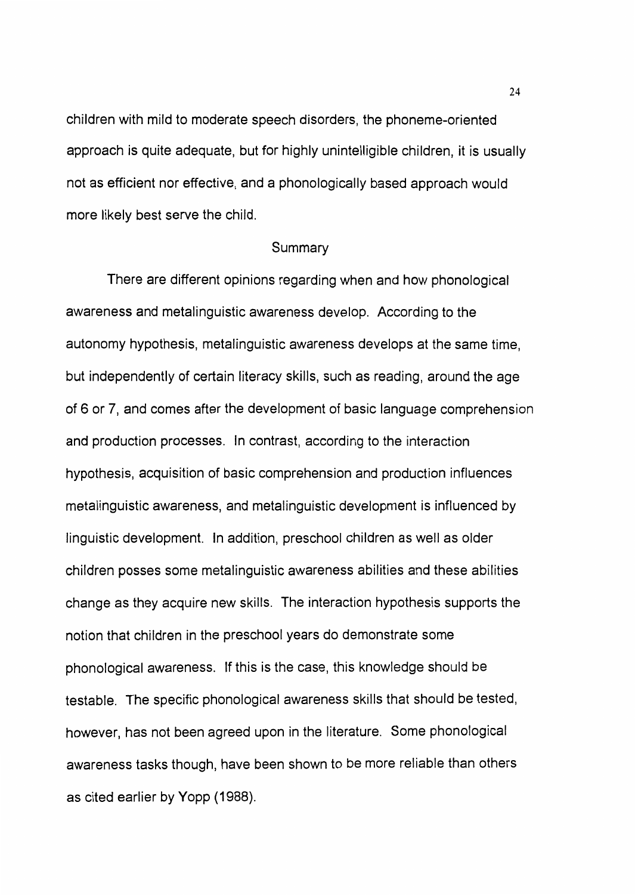children with mild to moderate speech disorders, the phoneme-oriented approach is quite adequate, but for highly unintelligible children, it is usually not as efficient nor effective, and a phonologically based approach would more likely best serve the child.

#### Summary

There are different opinions regarding when and how phonological awareness and metalinguistic awareness develop. According to the autonomy hypothesis, metalinguistic awareness develops at the same time, but independently of certain literacy skills, such as reading, around the age of 6 or 7, and comes after the development of basic language comprehension and production processes. In contrast, according to the interaction hypothesis, acquisition of basic comprehension and production influences metalinguistic awareness, and metalinguistic development is influenced by linguistic development. In addition, preschool children as well as older children posses some metalinguistic awareness abilities and these abilities change as they acquire new skills. The interaction hypothesis supports the notion that children in the preschool years do demonstrate some phonological awareness. If this is the case, this knowledge should be testable. The specific phonological awareness skills that should be tested, however, has not been agreed upon in the literature. Some phonological awareness tasks though, have been shown to be more reliable than others as cited earlier by Yopp (1988).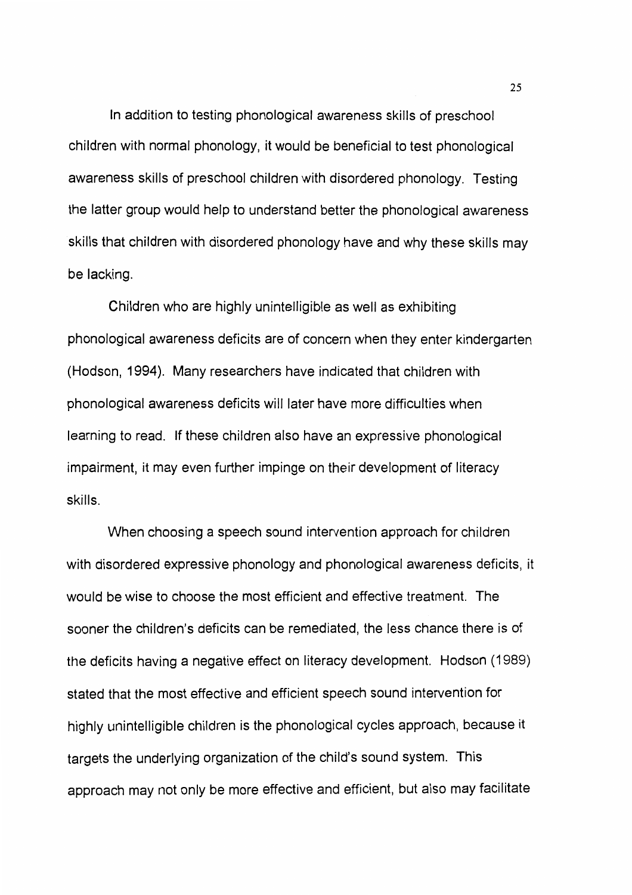In addition to testing phonological awareness skills of preschool children with normal phonology, it would be beneficial to test phonological awareness skills of preschool children with disordered phonology. Testing the latter group would help to understand better the phonological awareness skills that children with disordered phonology have and why these skills may be lacking.

Children who are highly unintelligible as well as exhibiting phonological awareness deficits are of concern when they enter kindergarten (Hodson, 1994). Many researchers have indicated that children with phonological awareness deficits will later have more difficulties when learning to read. If these children also have an expressive phonological impairment, it may even further impinge on their development of literacy skills.

When choosing a speech sound intervention approach for children with disordered expressive phonology and phonological awareness deficits, it would be wise to choose the most efficient and effective treatment. The sooner the children's deficits can be remediated, the less chance there is of the deficits having a negative effect on literacy development. Hodson (1989) stated that the most effective and efficient speech sound intervention for highly unintelligible children is the phonological cycles approach, because it targets the underlying organization of the child's sound system. This approach may not only be more effective and efficient, but also may facilitate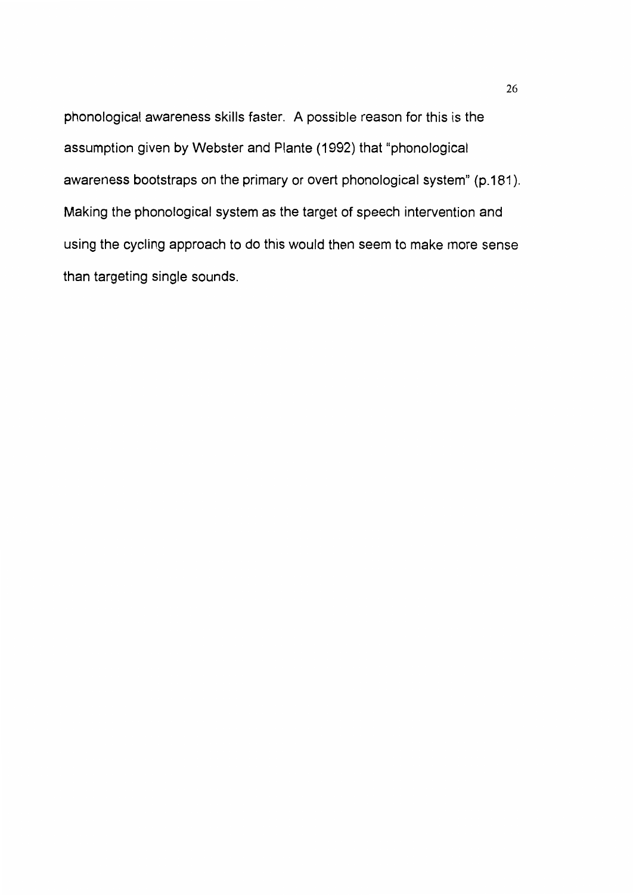phonological awareness skills faster. A possible reason for this is the assumption given by Webster and Plante (1992) that "phonological awareness bootstraps on the primary or overt phonological system" (p.181 ). Making the phonological system as the target of speech intervention and using the cycling approach to do this would then seem to make more sense than targeting single sounds.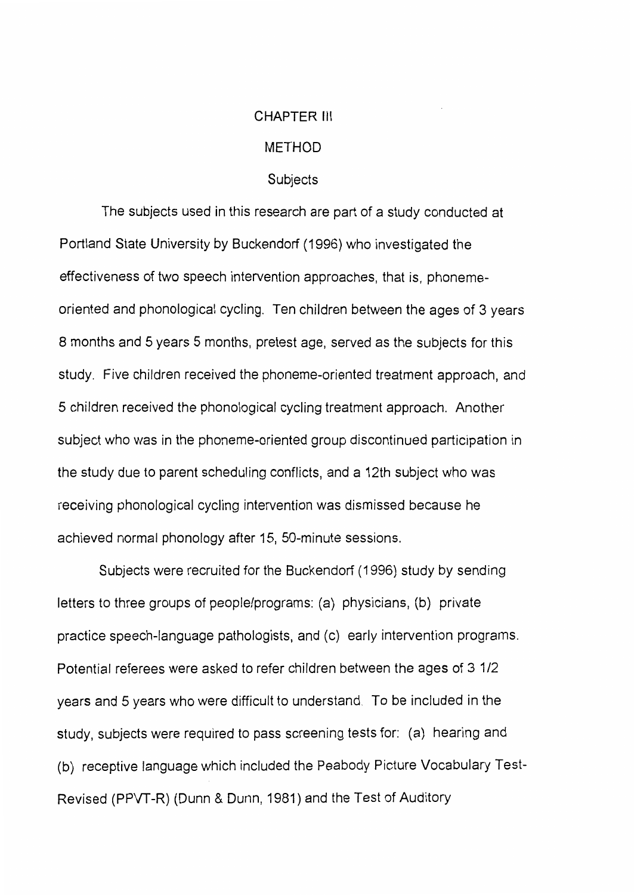## CHAPTER Ill

## METHOD

#### Subjects

The subjects used in this research are part of a study conducted at Portland State University by Buckendorf (1996) who investigated the effectiveness of two speech intervention approaches, that is, phonemeoriented and phonological cycling. Ten children between the ages of 3 years 8 months and 5 years 5 months, pretest age, served as the subjects for this study. Five children received the phoneme-oriented treatment approach, and 5 children received the phonological cycling treatment approach. Another subject who was in the phoneme-oriented group discontinued participation in the study due to parent scheduling conflicts, and a 12th subject who was receiving phonological cycling intervention was dismissed because he achieved normal phonology after 15, 50-minute sessions.

Subjects were recruited for the Buckendorf (1996) study by sending letters to three groups of people/programs: (a) physicians, (b) private practice speech-language pathologists, and (c) early intervention programs. Potential referees were asked to refer children between the ages of 3 1/2 years and 5 years who were difficult to understand. To be included in the study, subjects were required to pass screening tests for: (a) hearing and (b) receptive language which included the Peabody Picture Vocabulary Test-Revised (PPVT-R) (Dunn & Dunn, 1981) and the Test of Auditory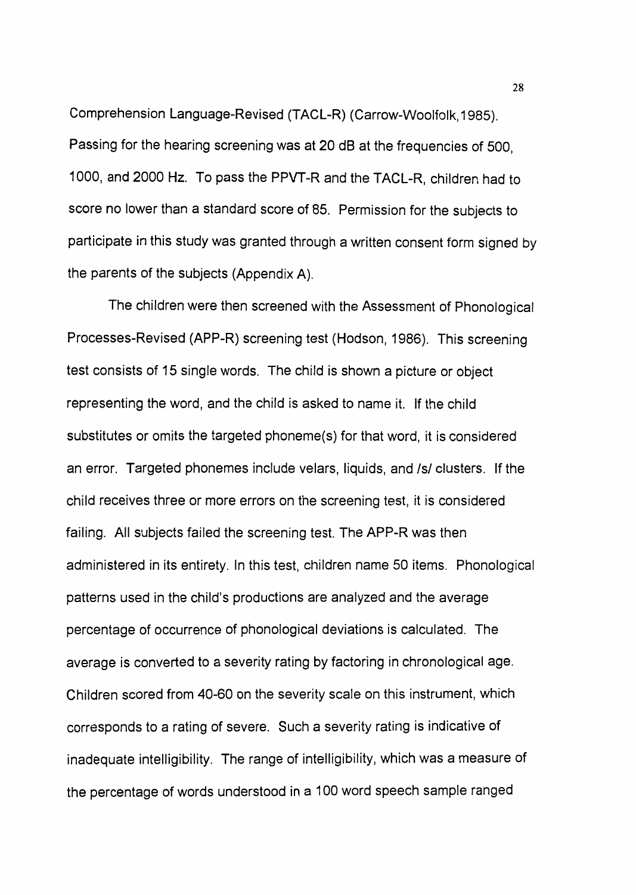Comprehension Language-Revised (TACL-R) (Carrow-Woolfolk, 1985). Passing for the hearing screening was at 20 dB at the frequencies of 500, 1000, and 2000 Hz. To pass the PPVT-R and the TACL-R, children had to score no lower than a standard score of 85. Permission for the subjects to participate in this study was granted through a written consent form signed by the parents of the subjects (Appendix A).

The children were then screened with the Assessment of Phonological Processes-Revised (APP-R) screening test (Hodson, 1986). This screening test consists of 15 single words. The child is shown a picture or object representing the word, and the child is asked to name it. If the child substitutes or omits the targeted phoneme(s) for that word, it is considered an error. Targeted phonemes include velars, liquids, and /s/ clusters. If the child receives three or more errors on the screening test, it is considered failing. All subjects failed the screening test. The APP-R was then administered in its entirety. In this test, children name 50 items. Phonological patterns used in the child's productions are analyzed and the average percentage of occurrence of phonological deviations is calculated. The average is converted to a severity rating by factoring in chronological age. Children scored from 40-60 on the severity scale on this instrument, which corresponds to a rating of severe. Such a severity rating is indicative of inadequate intelligibility. The range of intelligibility, which was a measure of the percentage of words understood in a 100 word speech sample ranged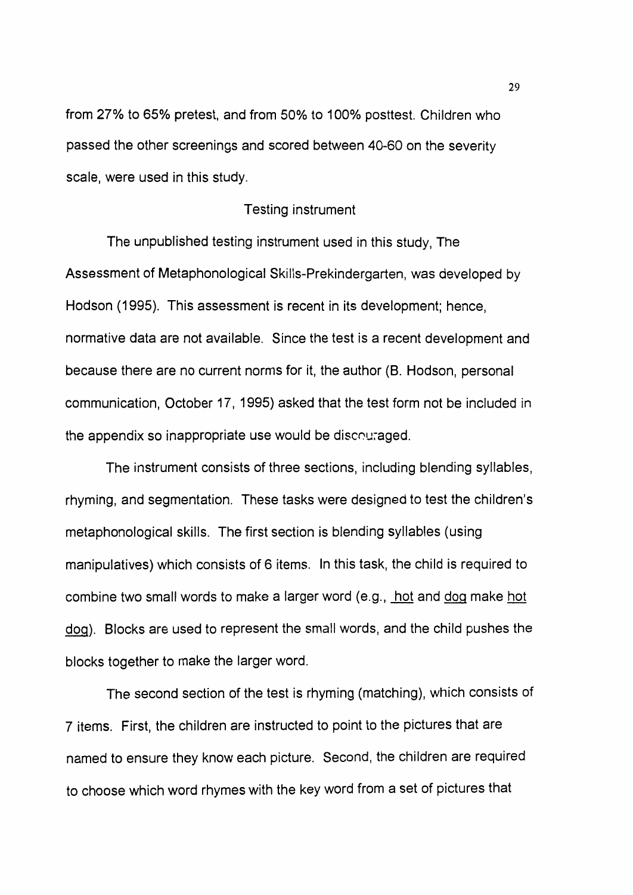from 27% to 65% pretest, and from 50% to 100% posttest. Children who passed the other screenings and scored between 40-60 on the severity scale, were used in this study.

## Testing instrument

The unpublished testing instrument used in this study, The Assessment of Metaphonological Skills-Prekindergarten, was developed by Hodson (1995). This assessment is recent in its development; hence, normative data are not available. Since the test is a recent development and because there are no current norms for it, the author (B. Hodson, personal communication, October 17, 1995) asked that the test form not be included in the appendix so inappropriate use would be discouraged.

The instrument consists of three sections, including blending syllables, rhyming, and segmentation. These tasks were designed to test the children's metaphonological skills. The first section is blending syllables (using manipulatives) which consists of 6 items. In this task, the child is required to combine two small words to make a larger word (e.g., hot and dog make hot dog). Blocks are used to represent the small words, and the child pushes the blocks together to make the larger word.

The second section of the test is rhyming (matching), which consists of 7 items. First, the children are instructed to point to the pictures that are named to ensure they know each picture. Second, the children are required to choose which word rhymes with the key word from a set of pictures that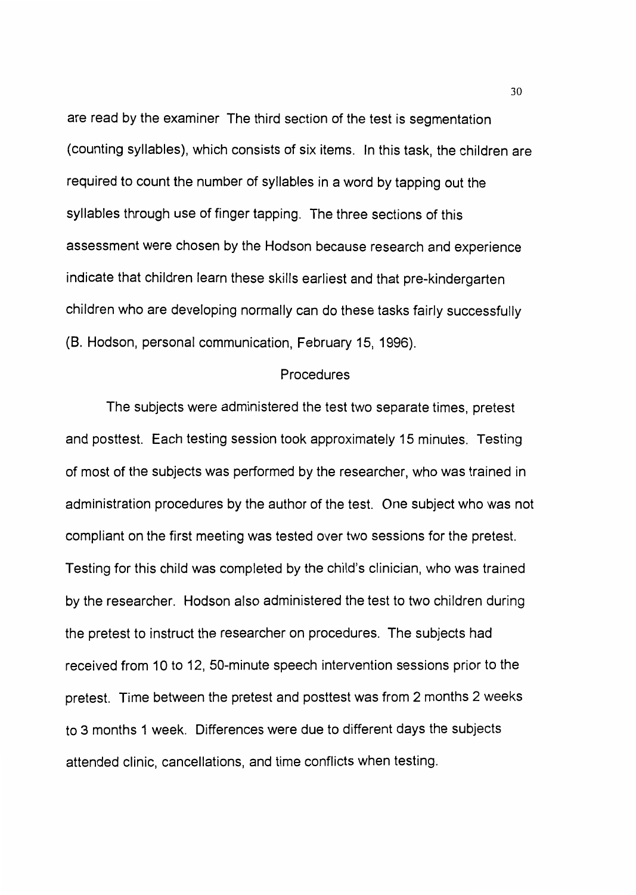are read by the examiner The third section of the test is segmentation (counting syllables), which consists of six items. In this task, the children are required to count the number of syllables in a word by tapping out the syllables through use of finger tapping. The three sections of this assessment were chosen by the Hodson because research and experience indicate that children learn these skills earliest and that pre-kindergarten children who are developing normally can do these tasks fairly successfully (8. Hodson, personal communication, February 15, 1996).

#### Procedures

The subjects were administered the test two separate times, pretest and posttest. Each testing session took approximately 15 minutes. Testing of most of the subjects was performed by the researcher, who was trained in administration procedures by the author of the test. One subject who was not compliant on the first meeting was tested over two sessions for the pretest. Testing for this child was completed by the child's clinician, who was trained by the researcher. Hodson also administered the test to two children during the pretest to instruct the researcher on procedures. The subjects had received from 10 to 12, 50-minute speech intervention sessions prior to the pretest. Time between the pretest and posttest was from 2 months 2 weeks to 3 months 1 week. Differences were due to different days the subjects attended clinic, cancellations, and time conflicts when testing.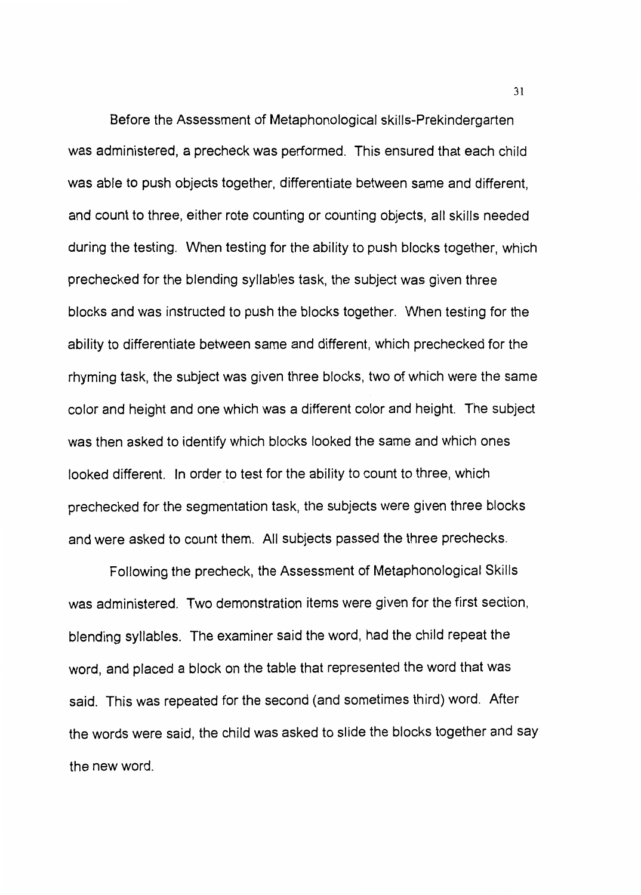Before the Assessment of Metaphonological skills-Prekindergarten was administered, a precheck was performed. This ensured that each child was able to push objects together, differentiate between same and different, and count to three, either rote counting or counting objects, all skills needed during the testing. When testing for the ability to push blocks together, which prechecked for the blending syllables task, the subject was given three blocks and was instructed to push the blocks together. When testing for the ability to differentiate between same and different, which prechecked for the rhyming task, the subject was given three blocks, two of which were the same color and height and one which was a different color and height. The subject was then asked to identify which blocks looked the same and which ones looked different. In order to test for the ability to count to three, which prechecked for the segmentation task, the subjects were given three blocks and were asked to count them. All subjects passed the three prechecks.

Following the precheck, the Assessment of Metaphonological Skills was administered. Two demonstration items were given for the first section, blending syllables. The examiner said the word, had the child repeat the word, and placed a block on the table that represented the word that was said. This was repeated for the second (and sometimes third) word. After the words were said, the child was asked to slide the blocks together and say the new word.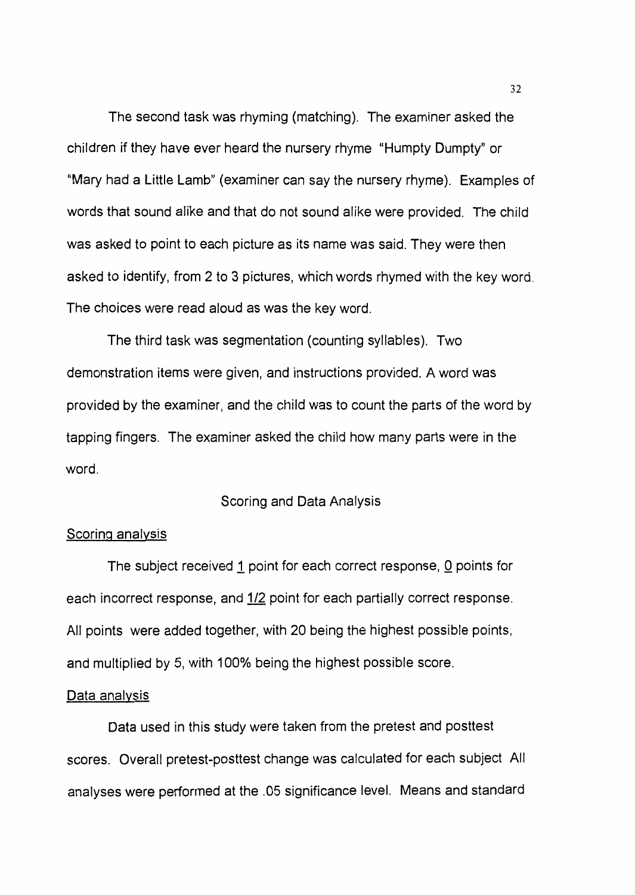The second task was rhyming (matching). The examiner asked the children if they have ever heard the nursery rhyme "Humpty Dumpty" or "Mary had a Little Lamb" (examiner can say the nursery rhyme). Examples of words that sound alike and that do not sound alike were provided. The child was asked to point to each picture as its name was said. They were then asked to identify, from 2 to 3 pictures, which words rhymed with the key word. The choices were read aloud as was the key word.

The third task was segmentation (counting syllables). Two demonstration items were given, and instructions provided. A word was provided by the examiner, and the child was to count the parts of the word by tapping fingers. The examiner asked the child how many parts were in the word.

#### Scoring and Data Analysis

# Scoring analysis

The subject received 1 point for each correct response, 0 points for each incorrect response, and 1/2 point for each partially correct response. All points were added together, with 20 being the highest possible points, and multiplied by 5, with 100% being the highest possible score.

#### Data analysis

Data used in this study were taken from the pretest and posttest scores. Overall pretest-posttest change was calculated for each subject All analyses were performed at the .05 significance level. Means and standard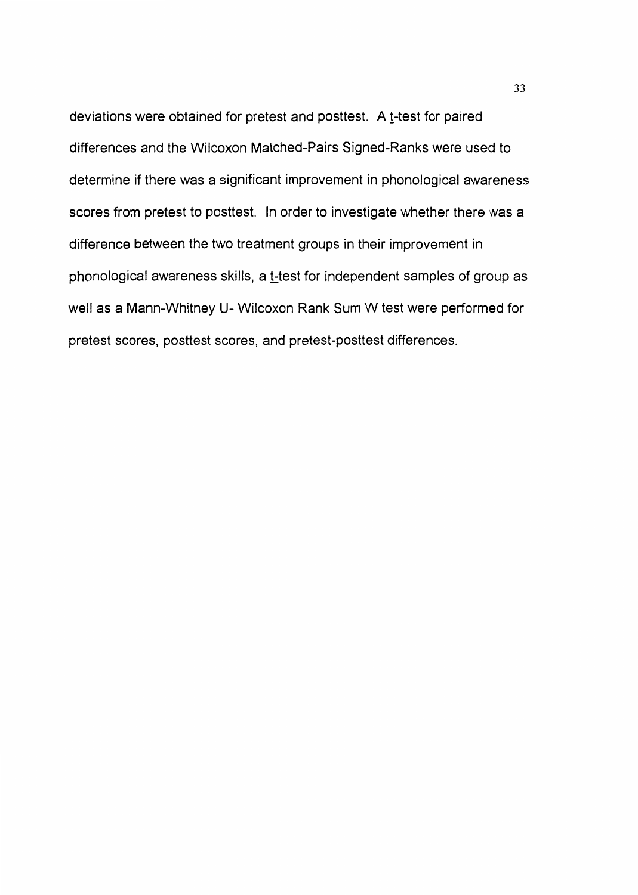deviations were obtained for pretest and posttest. A  $t$ -test for paired differences and the Wilcoxon Matched-Pairs Signed-Ranks were used to determine if there was a significant improvement in phonological awareness scores from pretest to posttest. In order to investigate whether there was a difference between the two treatment groups in their improvement in phonological awareness skills, a t-test for independent samples of group as well as a Mann-Whitney U- Wilcoxon Rank Sum W test were performed for pretest scores, posttest scores, and pretest-posttest differences.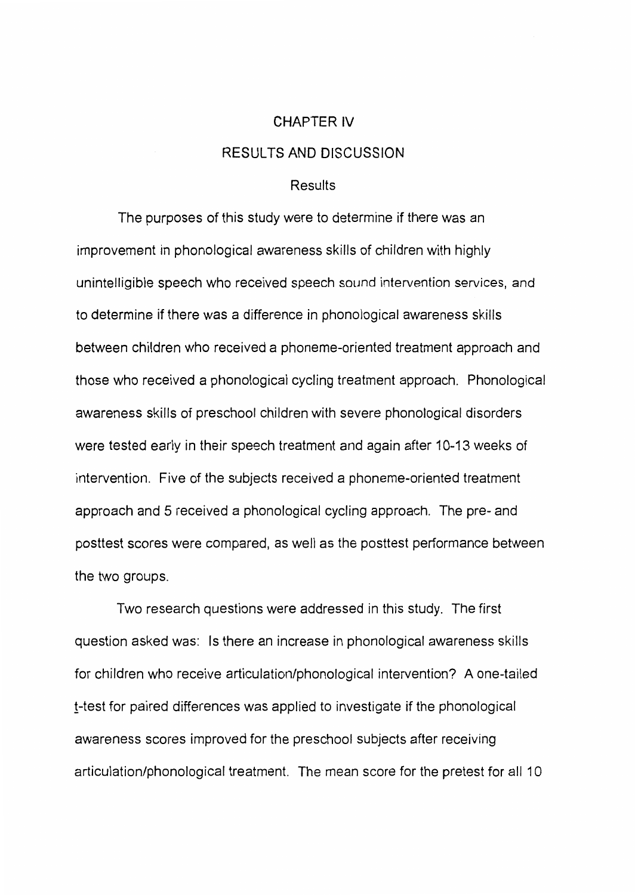#### CHAPTER IV

# RESULTS AND DISCUSSION

# Results

The purposes of this study were to determine if there was an improvement in phonological awareness skills of children with highly unintelligible speech who received speech sound intervention services, and to determine if there was a difference in phonological awareness skills between children who received a phoneme-oriented treatment approach and those who received a phonological cycling treatment approach. Phonological awareness skills of preschool children with severe phonological disorders were tested early in their speech treatment and again after 10-13 weeks of intervention. Five of the subjects received a phoneme-oriented treatment approach and 5 received a phonological cycling approach. The pre- and posttest scores were compared, as well as the posttest performance between the two groups.

Two research questions were addressed in this study. The first question asked was: Is there an increase in phonological awareness skills for children who receive articulation/phonological intervention? A one-tailed !-test for paired differences was applied to investigate if the phonological awareness scores improved for the preschool subjects after receiving articulation/phonological treatment. The mean score for the pretest for all 10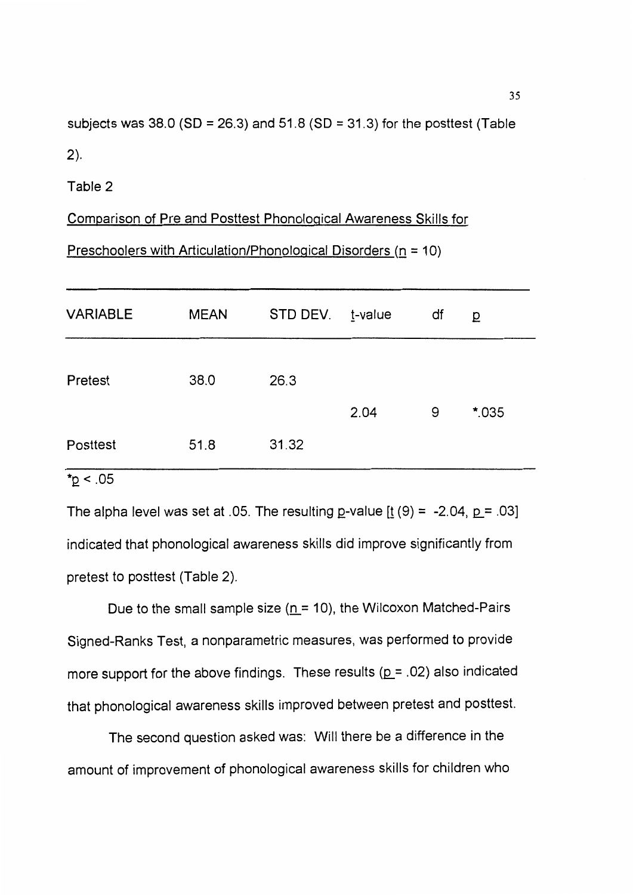subjects was 38.0 (SD = 26.3) and 51.8 (SD = 31.3) for the posttest (Table 2).

Table 2

Comparison of Pre and Posttest Phonological Awareness Skills for

Preschoolers with Articulation/Phonological Disorders ( $n = 10$ )

| <b>VARIABLE</b> | <b>MEAN</b> | STD DEV. | <u>t</u> -value | df | p      |
|-----------------|-------------|----------|-----------------|----|--------|
| Pretest         | 38.0        | 26.3     |                 |    |        |
|                 |             |          | 2.04            | 9  | $*035$ |
| Posttest        | 51.8        | 31.32    |                 |    |        |

 $*_{p}$  < .05

The alpha level was set at .05. The resulting  $p$ -value  $\left[\frac{1}{2}(9) = -2.04, p = .03\right]$ indicated that phonological awareness skills did improve significantly from pretest to posttest (Table 2).

Due to the small sample size ( $n = 10$ ), the Wilcoxon Matched-Pairs Signed-Ranks Test, a nonparametric measures, was performed to provide more support for the above findings. These results ( $p = .02$ ) also indicated that phonological awareness skills improved between pretest and posttest.

The second question asked was: Will there be a difference in the amount of improvement of phonological awareness skills for children who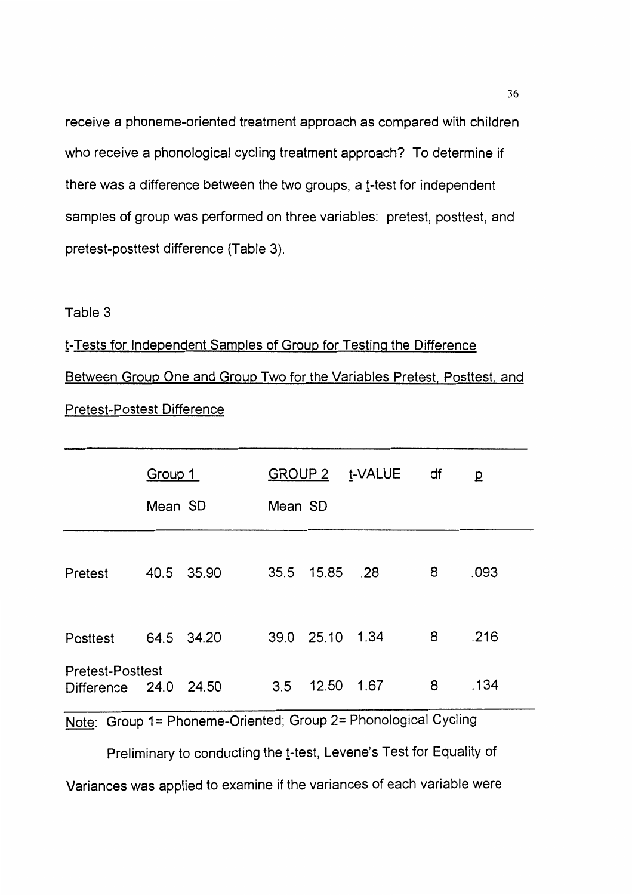receive a phoneme-oriented treatment approach as compared with children who receive a phonological cycling treatment approach? To determine if there was a difference between the two groups, a t-test for independent samples of group was performed on three variables: pretest, posttest, and pretest-posttest difference (Table 3).

# Table 3

# !-Tests for Independent Samples of Group for Testing the Difference Between Group One and Group Two for the Variables Pretest. Posttest. and Pretest-Postest Difference

|                                                  | Group 1<br>Mean SD | Mean SD |                 | GROUP 2 t-VALUE | df  | $\overline{D}$ |
|--------------------------------------------------|--------------------|---------|-----------------|-----------------|-----|----------------|
| Pretest                                          | 40.5 35.90         |         | 35.5 15.85      | .28             | 8   | .093           |
| Posttest                                         | 64.5 34.20         |         | 39.0 25.10 1.34 |                 | - 8 | .216           |
| <b>Pretest-Posttest</b><br>Difference 24.0 24.50 |                    | 3.5     | 12.50           | 1.67            | 8   | .134           |

Note: Group 1= Phoneme-Oriented; Group 2= Phonological Cycling

Preliminary to conducting the t-test, Levene's Test for Equality of

Variances was applied to examine if the variances of each variable were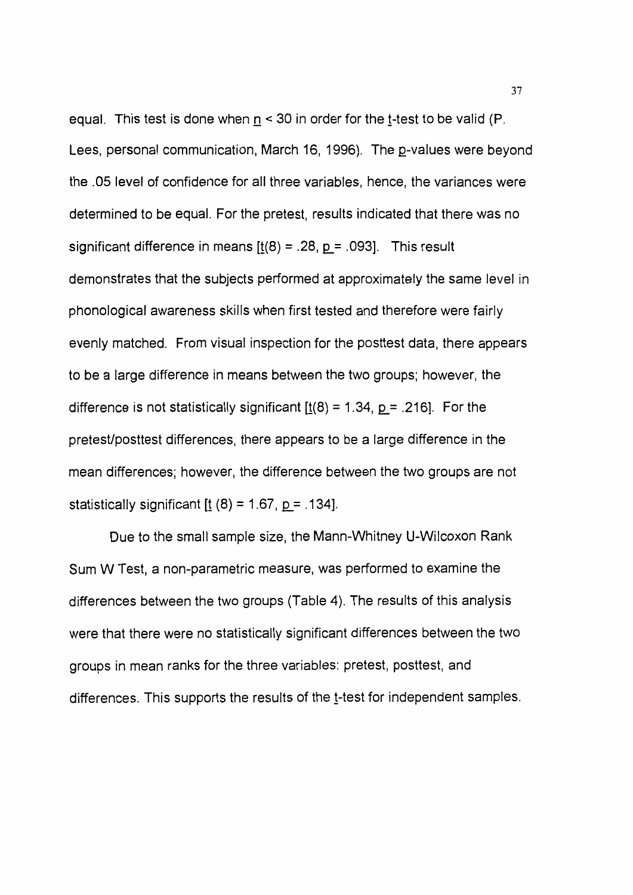equal. This test is done when  $n < 30$  in order for the t-test to be valid (P. Lees, personal communication, March 16, 1996). The p-values were beyond the .05 level of confidence for all three variables, hence, the variances were determined to be equal. For the pretest, results indicated that there was no significant difference in means  $[t(8) = .28, p = .093]$ . This result demonstrates that the subjects performed at approximately the same level in phonological awareness skills when first tested and therefore were fairly evenly matched. From visual inspection for the posttest data, there appears to be a large difference in means between the two groups; however, the difference is not statistically significant  $[\underline{t}(8) = 1.34, \underline{p} = .216]$ . For the pretest/posttest differences, there appears to be a large difference in the mean differences; however, the difference between the two groups are not statistically significant  $[t (8) = 1.67, p = .134]$ .

Due to the small sample size, the Mann-Whitney U-Wilcoxon Rank Sum W Test, a non-parametric measure, was performed to examine the differences between the two groups (Table 4). The results of this analysis were that there were no statistically significant differences between the two groups in mean ranks for the three variables: pretest, posttest, and differences. This supports the results of the t-test for independent samples.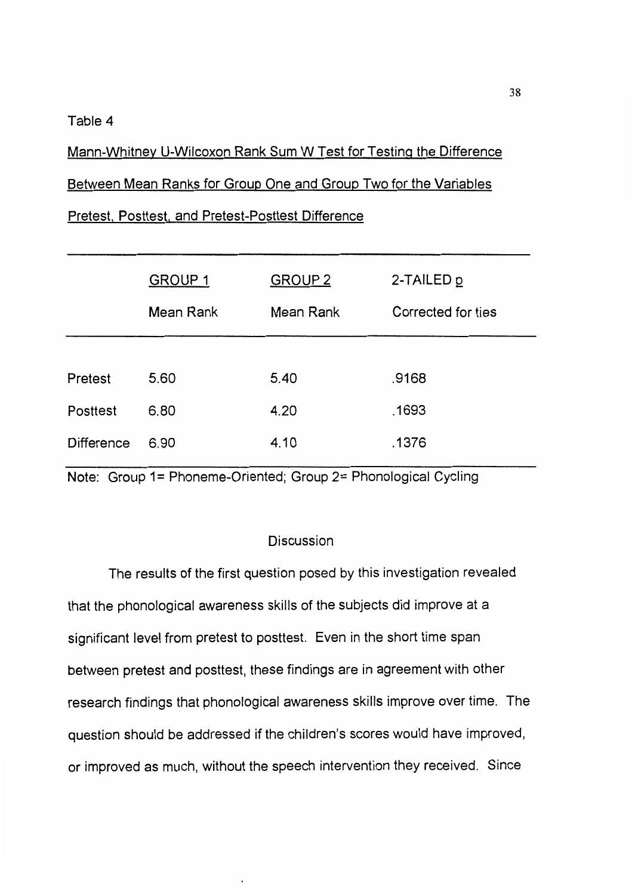#### Table 4

Mann-Whitney U-Wilcoxon Rank Sum W Test for Testing the Difference Between Mean Ranks for Group One and Group Two for the Variables

# Pretest. Posttest. and Pretest-Posttest Difference

|                   | <b>GROUP 1</b><br>Mean Rank | <b>GROUP 2</b><br>Mean Rank | 2-TAILED p<br>Corrected for ties |
|-------------------|-----------------------------|-----------------------------|----------------------------------|
| Pretest           | 5.60                        | 5.40                        | .9168                            |
| Posttest          | 6.80                        | 4.20                        | .1693                            |
| <b>Difference</b> | 6.90                        | 4.10                        | .1376                            |

Note: Group 1= Phoneme-Oriented; Group 2= Phonological Cycling

# Discussion

The results of the first question posed by this investigation revealed that the phonological awareness skills of the subjects did improve at a significant level from pretest to posttest. Even in the short time span between pretest and posttest, these findings are in agreement with other research findings that phonological awareness skills improve over time. The question should be addressed if the children's scores would have improved, or improved as much, without the speech intervention they received. Since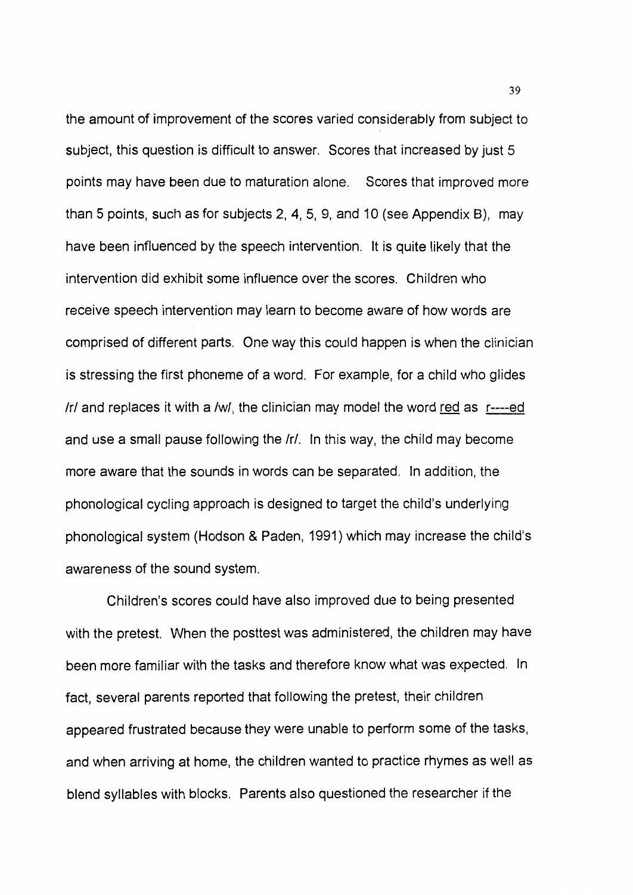the amount of improvement of the scores varied considerably from subject to subject, this question is difficult to answer. Scores that increased by just 5 points may have been due to maturation alone. Scores that improved more than 5 points, such as for subjects 2, 4, 5, 9, and 10 (see Appendix B), may have been influenced by the speech intervention. It is quite likely that the intervention did exhibit some influence over the scores. Children who receive speech intervention may learn to become aware of how words are comprised of different parts. One way this could happen is when the clinician is stressing the first phoneme of a word. For example, for a child who glides Irl and replaces it with a /w/, the clinician may model the word red as  $r$ ----ed and use a small pause following the /r/. In this way, the child may become more aware that the sounds in words can be separated. In addition, the phonological cycling approach is designed to target the child's underlying phonological system (Hodson & Paden, 1991) which may increase the child's awareness of the sound system.

Children's scores could have also improved due to being presented with the pretest. When the posttest was administered, the children may have been more familiar with the tasks and therefore know what was expected. In fact, several parents reported that following the pretest, their children appeared frustrated because they were unable to perform some of the tasks, and when arriving at home, the children wanted to practice rhymes as well as blend syllables with blocks. Parents also questioned the researcher if the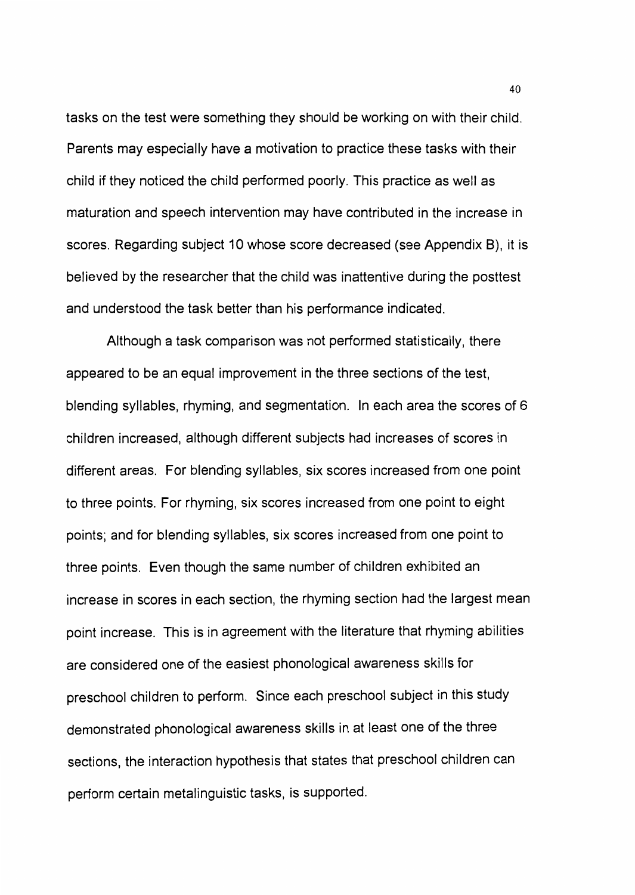tasks on the test were something they should be working on with their child. Parents may especially have a motivation to practice these tasks with their child if they noticed the child performed poorly. This practice as well as maturation and speech intervention may have contributed in the increase in scores. Regarding subject 10 whose score decreased (see Appendix 8), it is believed by the researcher that the child was inattentive during the posttest and understood the task better than his performance indicated.

Although a task comparison was not performed statistically, there appeared to be an equal improvement in the three sections of the test, blending syllables, rhyming, and segmentation. In each area the scores of 6 children increased, although different subjects had increases of scores in different areas. For blending syllables, six scores increased from one point to three points. For rhyming, six scores increased from one point to eight points; and for blending syllables, six scores increased from one point to three points. Even though the same number of children exhibited an increase in scores in each section, the rhyming section had the largest mean point increase. This is in agreement with the literature that rhyming abilities are considered one of the easiest phonological awareness skills for preschool children to perform. Since each preschool subject in this study demonstrated phonological awareness skills in at least one of the three sections, the interaction hypothesis that states that preschool children can perform certain metalinguistic tasks, is supported.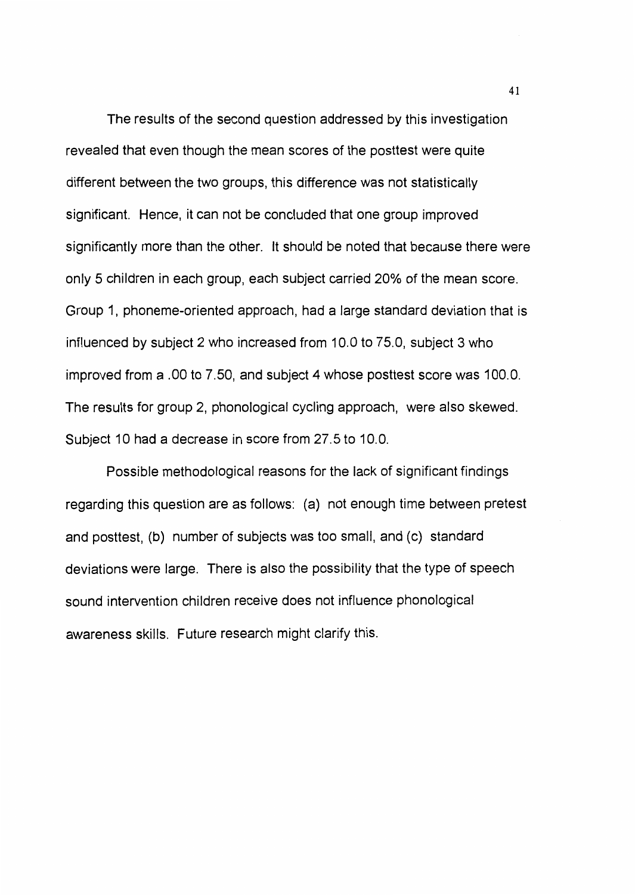The results of the second question addressed by this investigation revealed that even though the mean scores of the posttest were quite different between the two groups, this difference was not statistically significant. Hence, it can not be concluded that one group improved significantly more than the other. It should be noted that because there were only 5 children in each group, each subject carried 20% of the mean score. Group 1, phoneme-oriented approach, had a large standard deviation that is influenced by subject 2 who increased from 10.0 to 75.0, subject 3 who improved from a .00 to 7.50, and subject 4 whose posttest score was 100.0. The results for group 2, phonological cycling approach, were also skewed. Subject 10 had a decrease in score from 27.5 to 10.0.

Possible methodological reasons for the lack of significant findings regarding this question are as follows: (a) not enough time between pretest and posttest, (b) number of subjects was too small, and (c) standard deviations were large. There is also the possibility that the type of speech sound intervention children receive does not influence phonological awareness skills. Future research might clarify this.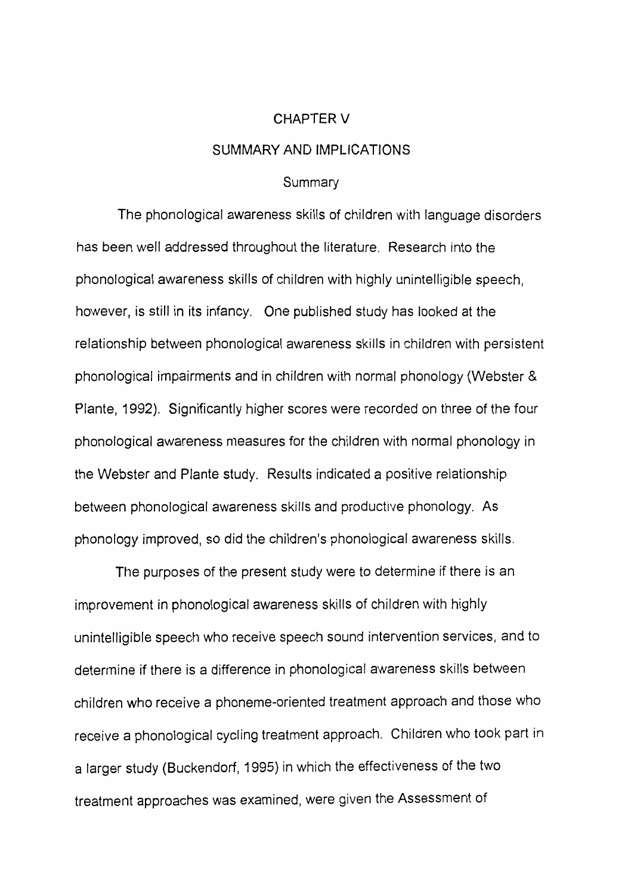#### CHAPTERV

## SUMMARY AND IMPLICATIONS

#### Summary

The phonological awareness skills of children with language disorders has been well addressed throughout the literature. Research into the phonological awareness skills of children with highly unintelligible speech, however, is still in its infancy. One published study has looked at the relationship between phonological awareness skills in children with persistent phonological impairments and in children with normal phonology (Webster & Plante, 1992). Significantly higher scores were recorded on three of the four phonological awareness measures for the children with normal phonology in the Webster and Plante study. Results indicated a positive relationship between phonological awareness skills and productive phonology. As phonology improved, so did the children's phonological awareness skills.

The purposes of the present study were to determine if there is an improvement in phonological awareness skills of children with highly unintelligible speech who receive speech sound intervention services, and to determine if there is a difference in phonological awareness skills between children who receive a phoneme-oriented treatment approach and those who receive a phonological cycling treatment approach. Children who took part in a larger study (Buckendorf, 1995) in which the effectiveness of the two treatment approaches was examined, were given the Assessment of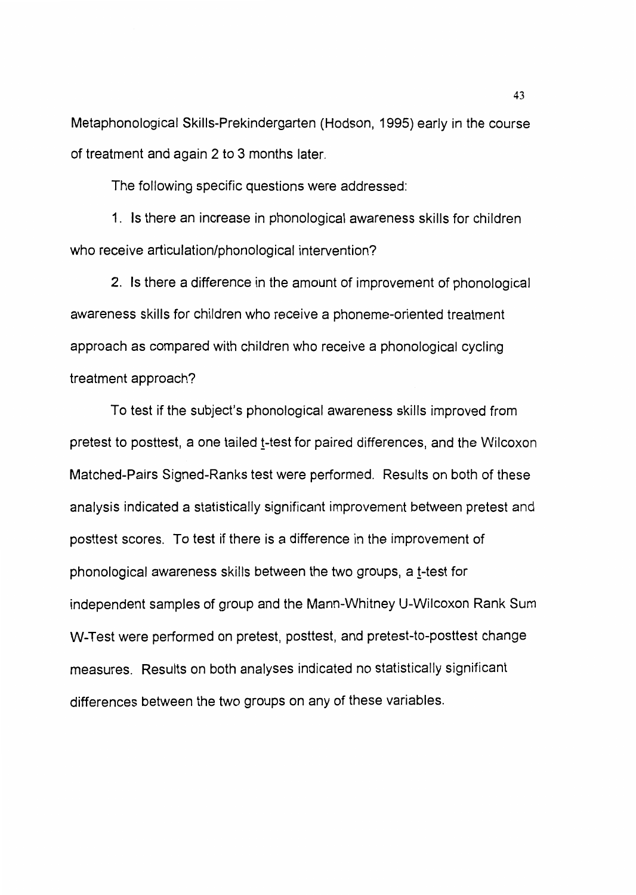Metaphonological Skills-Prekindergarten (Hodson, 1995) early in the course of treatment and again 2 to 3 months later.

The following specific questions were addressed:

1. Is there an increase in phonological awareness skills for children who receive articulation/phonological intervention?

2. Is there a difference in the amount of improvement of phonological awareness skills for children who receive a phoneme-oriented treatment approach as compared with children who receive a phonological cycling treatment approach?

To test if the subject's phonological awareness skills improved from pretest to posttest, a one tailed t-test for paired differences, and the Wilcoxon Matched-Pairs Signed-Ranks test were performed. Results on both of these analysis indicated a statistically significant improvement between pretest and posttest scores. To test if there is a difference in the improvement of phonological awareness skills between the two groups, a t-test for independent samples of group and the Mann-Whitney U-Wilcoxon Rank Sum W-Test were performed on pretest, posttest, and pretest-to-posttest change measures. Results on both analyses indicated no statistically significant differences between the two groups on any of these variables.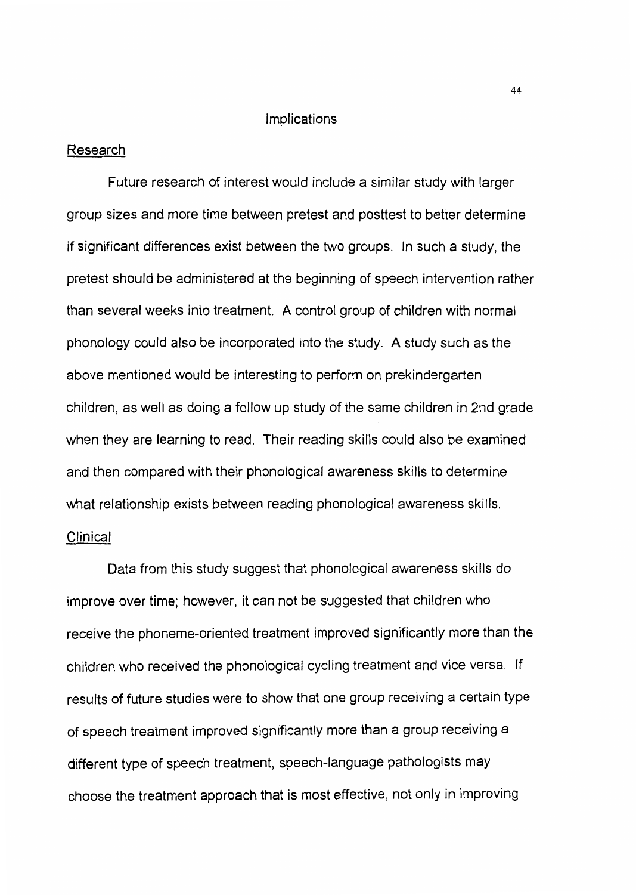#### Implications

#### Research

Future research of interest would include a similar study with larger group sizes and more time between pretest and posttest to better determine if significant differences exist between the two groups. In such a study, the pretest should be administered at the beginning of speech intervention rather than several weeks into treatment. A control group of children with normal phonology could also be incorporated into the study. A study such as the above mentioned would be interesting to perform on prekindergarten children, as well as doing a follow up study of the same children in 2nd grade when they are learning to read. Their reading skills could also be examined and then compared with their phonological awareness skills to determine what relationship exists between reading phonological awareness skills. Clinical

Data from this study suggest that phonological awareness skills do improve over time; however, it can not be suggested that children who receive the phoneme-oriented treatment improved significantly more than the children who received the phonological cycling treatment and vice versa. If results of future studies were to show that one group receiving a certain type of speech treatment improved significantly more than a group receiving a different type of speech treatment, speech-language pathologists may choose the treatment approach that is most effective, not only in improving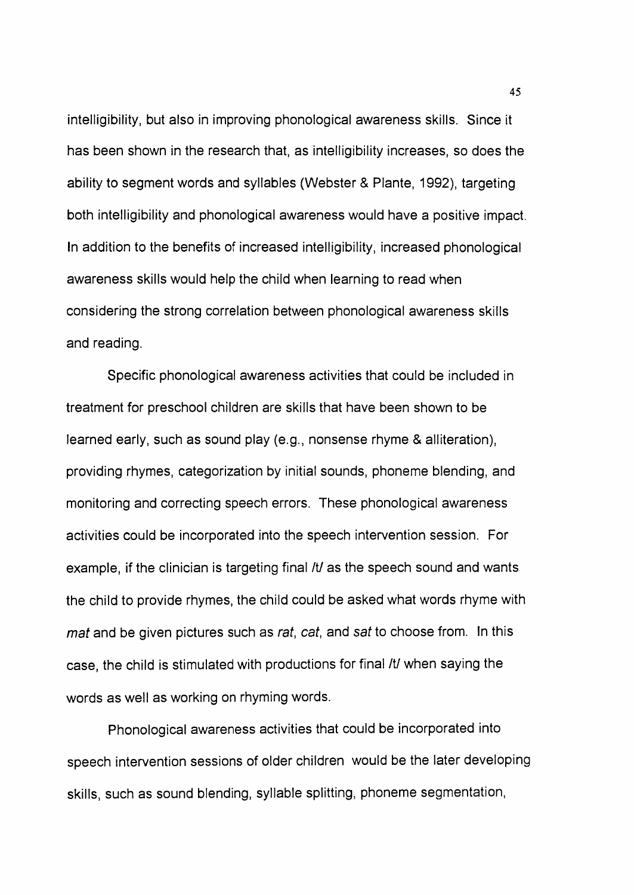intelligibility, but also in improving phonological awareness skills. Since it has been shown in the research that, as intelligibility increases, so does the ability to segment words and syllables (Webster & Plante, 1992), targeting both intelligibility and phonological awareness would have a positive impact. In addition to the benefits of increased intelligibility, increased phonological awareness skills would help the child when learning to read when considering the strong correlation between phonological awareness skills and reading.

Specific phonological awareness activities that could be included in treatment for preschool children are skills that have been shown to be learned early, such as sound play (e.g., nonsense rhyme & alliteration), providing rhymes, categorization by initial sounds, phoneme blending, and monitoring and correcting speech errors. These phonological awareness activities could be incorporated into the speech intervention session. For example, if the clinician is targeting final /t/ as the speech sound and wants the child to provide rhymes, the child could be asked what words rhyme with mat and be given pictures such as rat, cat, and sat to choose from. In this case, the child is stimulated with productions for final /t/ when saying the words as well as working on rhyming words.

Phonological awareness activities that could be incorporated into speech intervention sessions of older children would be the later developing skills, such as sound blending, syllable splitting, phoneme segmentation,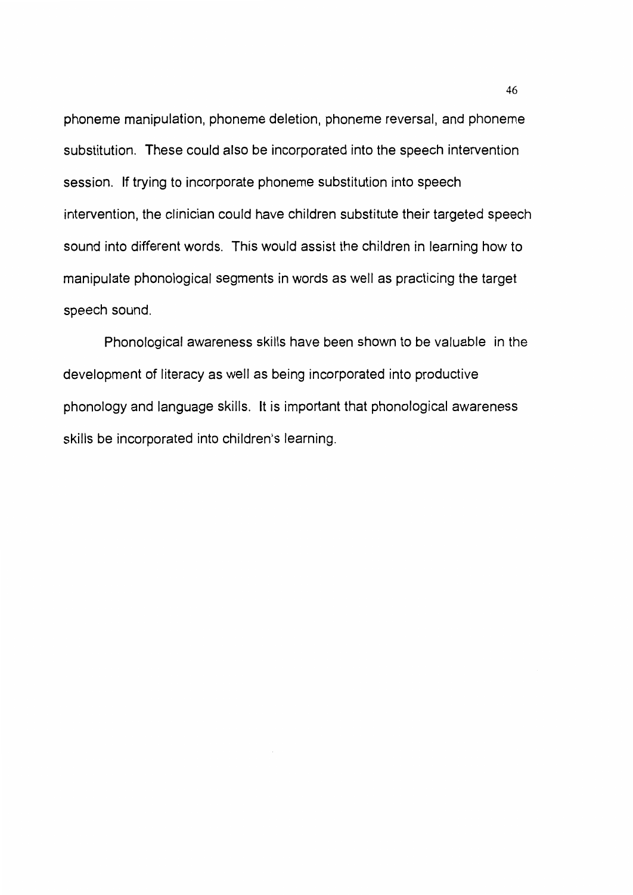phoneme manipulation, phoneme deletion, phoneme reversal, and phoneme substitution. These could also be incorporated into the speech intervention session. If trying to incorporate phoneme substitution into speech intervention, the clinician could have children substitute their targeted speech sound into different words. This would assist the children in learning how to manipulate phonological segments in words as well as practicing the target speech sound.

Phonological awareness skills have been shown to be valuable in the development of literacy as well as being incorporated into productive phonology and language skills. It is important that phonological awareness skills be incorporated into children's learning.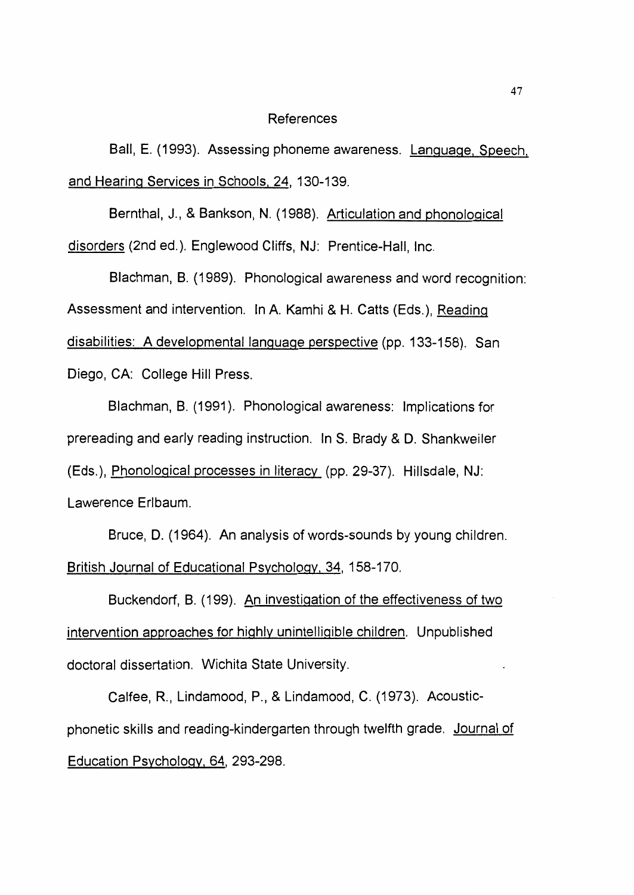#### References

Ball, E. (1993). Assessing phoneme awareness. Language, Speech, and Hearing Services in Schools. 24, 130-139.

Bernthal, J., & Bankson, N. (1988). Articulation and phonological disorders (2nd ed.). Englewood Cliffs, NJ: Prentice-Hall, Inc.

Blachman, B. (1989). Phonological awareness and word recognition: Assessment and intervention. In A. Kamhi & H. Catts (Eds.), <u>Reading</u> disabilities: A developmental language perspective (pp. 133-158). San Diego, CA: College Hill Press.

Blachman, B. (1991 ). Phonological awareness: Implications for prereading and early reading instruction. In S. Brady & D. Shankweiler (Eds.), Phonological processes in literacy (pp. 29-37). Hillsdale, NJ: Lawerence Erlbaum.

Bruce, D. (1964). An analysis of words-sounds by young children. British Journal of Educational Psychology. 34, 158-170.

Buckendorf, B. (199). An investigation of the effectiveness of two intervention approaches for highly unintelligible children. Unpublished doctoral dissertation. Wichita State University.

Calfee, R., Lindamood, P., & Lindamood, C. (1973). Acousticphonetic skills and reading-kindergarten through twelfth grade. Journal of Education Psychology, 64, 293-298.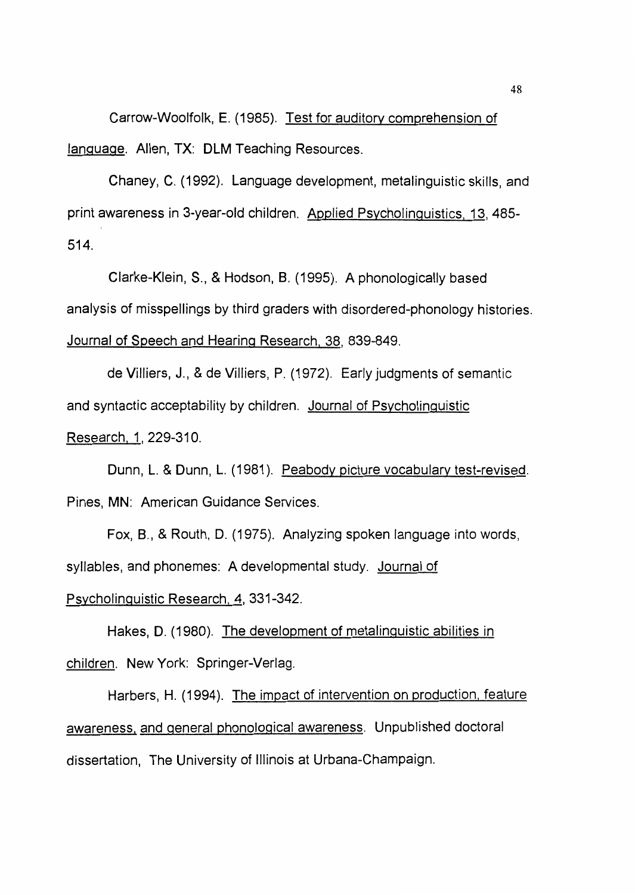Carrow-Woolfolk, E. (1985). Test for auditory comprehension of language. Allen, TX: DLM Teaching Resources.

Chaney, C. (1992). Language development, metalinguistic skills, and print awareness in 3-year-old children. Applied Psycholinguistics. 13, 485- 514.

Clarke-Klein, S., & Hodson, B. (1995). A phonologically based analysis of misspellings by third graders with disordered-phonology histories. Journal of Speech and Hearing Research. 38, 839-849.

de Villiers, J., & de Villiers, P. (1972). Early judgments of semantic and syntactic acceptability by children. Journal of Psycholinguistic Research. 1, 229-310.

Dunn, L. & Dunn, L. (1981). Peabody picture vocabulary test-revised. Pines, MN: American Guidance Services.

Fox, 8., & Routh, D. (1975). Analyzing spoken language into words, syllables, and phonemes: A developmental study. Journal of

Psycholinguistic Research. 4, 331-342.

Hakes, D. (1980). The development of metalinguistic abilities in children. New York: Springer-Verlag.

Harbers, H. (1994). The impact of intervention on production. feature awareness. and general phonological awareness. Unpublished doctoral dissertation, The University of Illinois at Urbana-Champaign.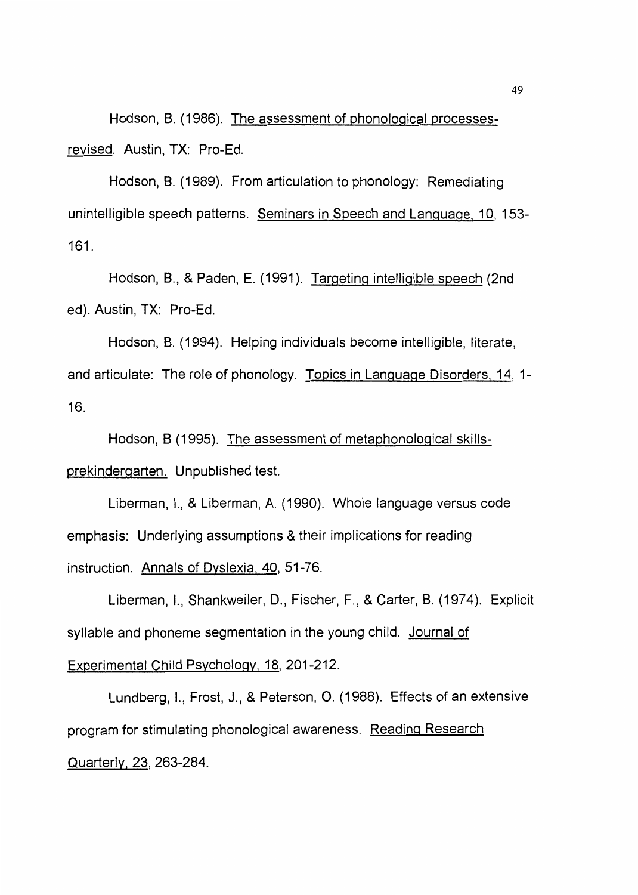Hodson, 8. (1986). The assessment of phonological processesrevised. Austin, TX: Pro-Ed.

Hodson, 8. (1989). From articulation to phonology: Remediating unintelligible speech patterns. Seminars in Speech and Language, 10, 153- 161.

Hodson, B., & Paden, E. (1991). Targeting intelligible speech (2nd ed). Austin, TX: Pro-Ed.

Hodson, 8. (1994). Helping individuals become intelligible, literate, and articulate: The role of phonology. Topics in Language Disorders. 14, 1- 16.

Hodson, B (1995). The assessment of metaphonological skillsprekindergarten. Unpublished test.

Liberman, I., & Liberman, A. ( 1990). Whole language versus code emphasis: Underlying assumptions & their implications for reading instruction. Annals of Dyslexia. 40, 51-76.

Liberman, I., Shankweiler, D., Fischer, F., & Carter, 8. (1974). Explicit syllable and phoneme segmentation in the young child. Journal of

# Experimental Child Psychology. 18, 201-212.

Lundberg, I., Frost, J., & Peterson, 0. (1988). Effects of an extensive program for stimulating phonological awareness. Reading Research Quarterly. 23, 263-284.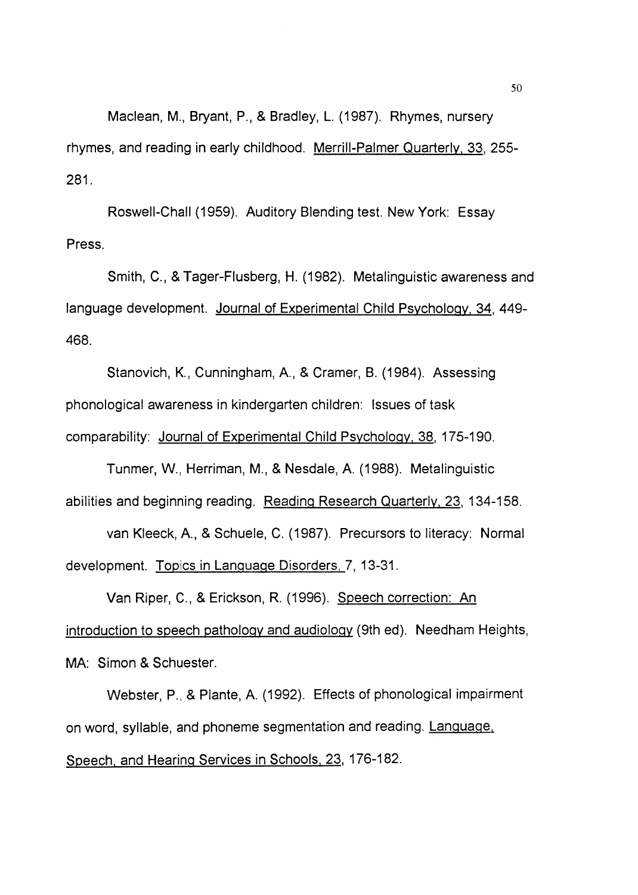Maclean, M., Bryant, P., & Bradley, L. (1987). Rhymes, nursery rhymes, and reading in early childhood. Merrill-Palmer Quarterly. 33, 255- 281.

Roswell-Chall (1959). Auditory Blending test. New York: Essay Press.

Smith, C., & Tager-Flusberg, H. (1982). Metalinguistic awareness and language development. Journal of Experimental Child Psychology, 34, 449- 468.

Stanovich, K., Cunningham, A., & Cramer, B. (1984). Assessing phonological awareness in kindergarten children: Issues of task comparability: Journal of Experimental Child Psychology, 38, 175-190.

Tunmer, W., Herriman, M., & Nesdale, A. (1988). Metalinguistic abilities and beginning reading. Reading Research Quarterly. 23, 134-158.

van Kleeck, A., & Schuele, C. (1987). Precursors to literacy: Normal development. Topics in Language Disorders, 7, 13-31.

Van Riper, C., & Erickson, R. (1996). Speech correction: An introduction to speech pathology and audiology (9th ed). Needham Heights, MA: Simon & Schuester.

Webster, P., & Plante, A. (1992). Effects of phonological impairment on word, syllable, and phoneme segmentation and reading. Language, Speech. and Hearing Services in Schools, 23, 176-182.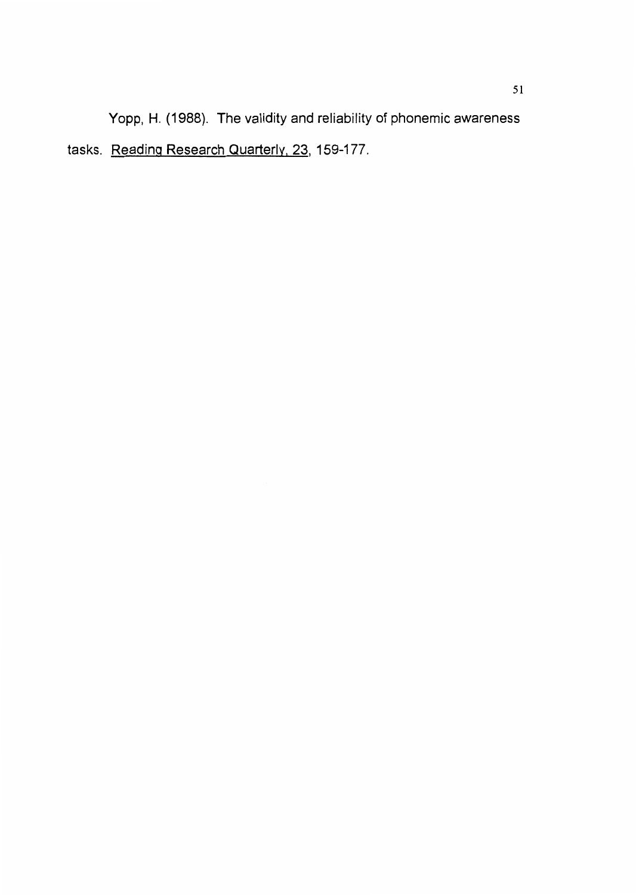Yopp, H. (1988). The validity and reliability of phonemic awareness tasks. Reading Research Quarterly, 23, 159-177.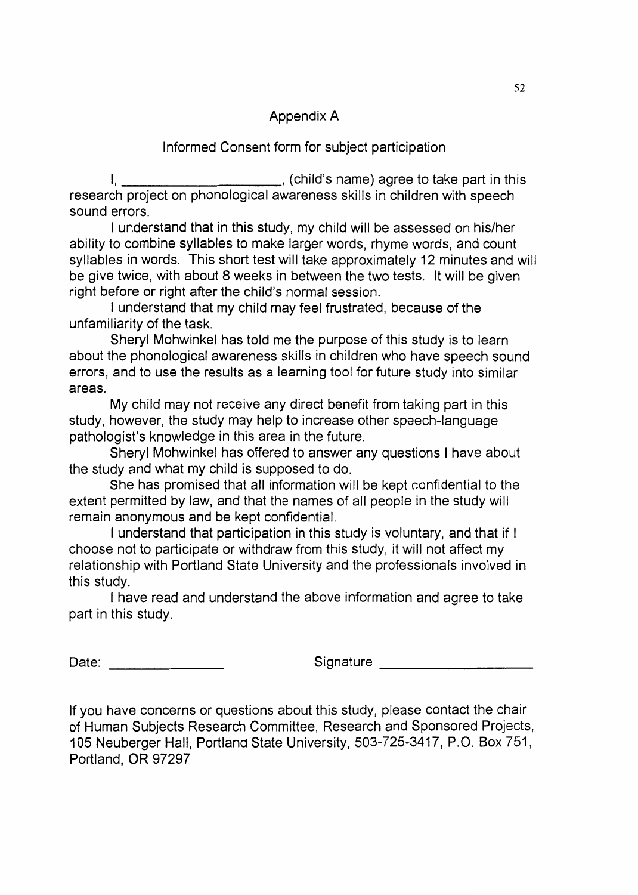# Appendix A

# Informed Consent form for subject participation

I, \_\_\_\_\_\_\_\_\_\_\_\_\_\_\_\_\_\_\_\_\_\_\_\_\_\_\_\_\_, (child's name) agree to take part in this research project on phonological awareness skills in children with speech sound errors.

I understand that in this study, my child will be assessed on his/her ability to combine syllables to make larger words, rhyme words, and count syllables in words. This short test will take approximately 12 minutes and will be give twice, with about 8 weeks in between the two tests. It will be given right before or right after the child's normal session.

I understand that my child may feel frustrated, because of the unfamiliarity of the task.

Sheryl Mohwinkel has told me the purpose of this study is to learn about the phonological awareness skills in children who have speech sound errors, and to use the results as a learning tool for future study into similar areas.

My child may not receive any direct benefit from taking part in this study, however, the study may help to increase other speech-language pathologist's knowledge in this area in the future.

Sheryl Mohwinkel has offered to answer any questions I have about the study and what my child is supposed to do.

She has promised that all information will be kept confidential to the extent permitted by law, and that the names of all people in the study will remain anonymous and be kept confidential.

I understand that participation in this study is voluntary, and that if I choose not to participate or withdraw from this study, it will not affect my relationship with Portland State University and the professionals involved in this study.

I have read and understand the above information and agree to take part in this study.

Date: \_\_\_\_\_\_\_\_\_\_\_\_\_\_\_\_\_\_\_

Signature \_\_\_\_\_\_\_\_\_\_\_\_\_\_\_\_\_\_\_\_

If you have concerns or questions about this study, please contact the chair of Human Subjects Research Committee, Research and Sponsored Projects, 105 Neuberger Hall, Portland State University, 503-725-3417, P.O. Box 751, Portland, OR 97297